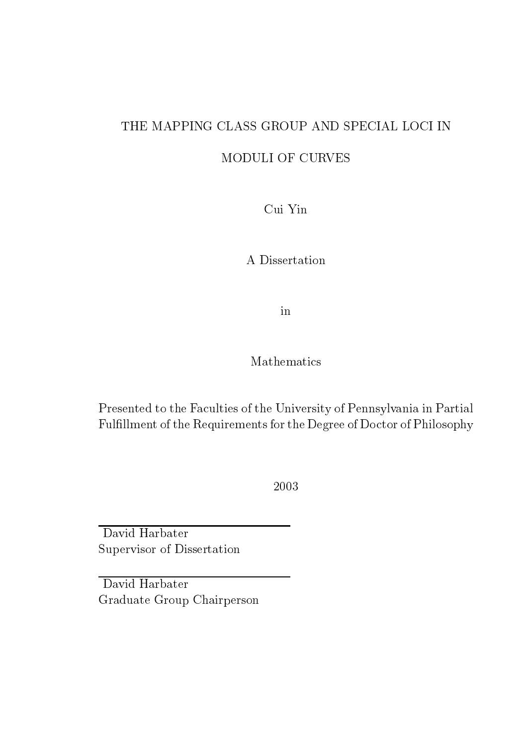## THE MAPPING CLASS GROUP AND SPECIAL LOCI IN

MODULI OF CURVES

Cui Yin

A Dissertation

in

#### Mathemati
s

Presented to the Faculties of the University of Pennsylvania in Partial Fulfillment of the Requirements for the Degree of Doctor of Philosophy

2003

David Harbater Supervisor of Dissertation

David Harbater Graduate Group Chairperson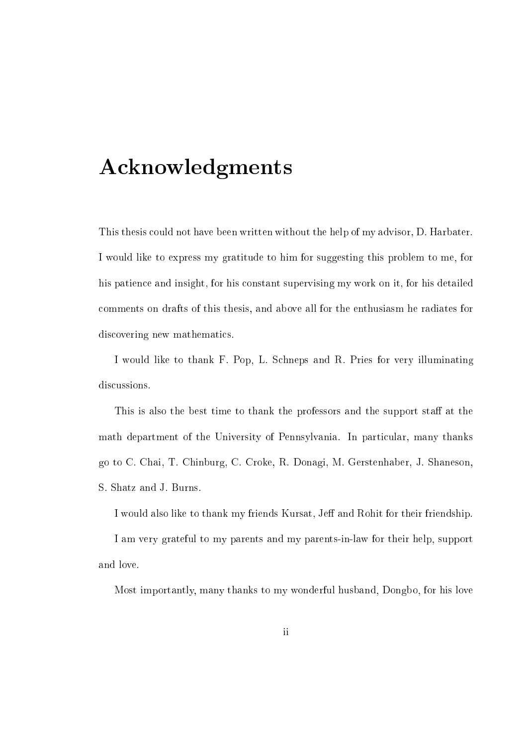# **Acknowledgments**

This thesis ould not have been written without the help of my advisor, D. Harbater. I would like to express my gratitude to him for suggesting this problem to me, for his patience and insight, for his constant supervising my work on it, for his detailed omments on drafts of this thesis, and above all for the enthusiasm he radiates for discovering new mathematics.

I would like to thank F. Pop, L. S
hneps and R. Pries for very illuminating discussions.

This is also the best time to thank the professors and the support staff at the math department of the University of Pennsylvania. In particular, many thanks go to C. Chai, T. Chinburg, C. Croke, R. Donagi, M. Gerstenhaber, J. Shaneson, S. Shatz and J. Burns.

I would also like to thank my friends Kursat, Jeff and Rohit for their friendship.

I am very grateful to my parents and my parents-in-law for their help, support and love.

Most importantly, many thanks to my wonderful husband, Dongbo, for his love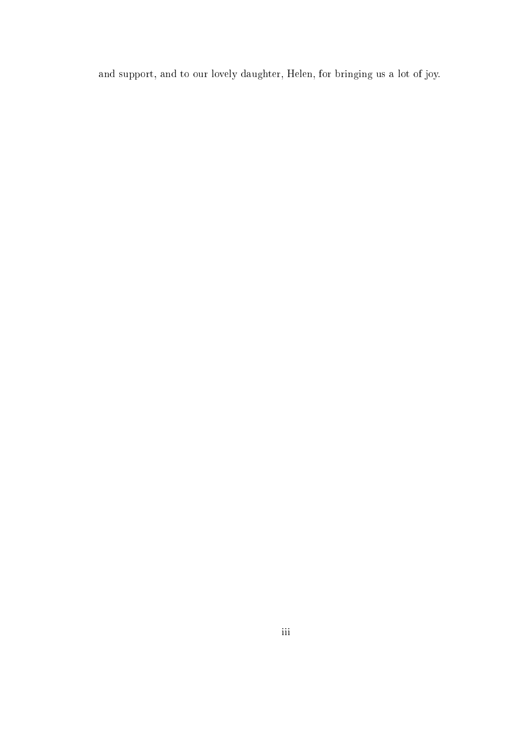and support, and to our lovely daughter, Helen, for bringing us a lot of joy.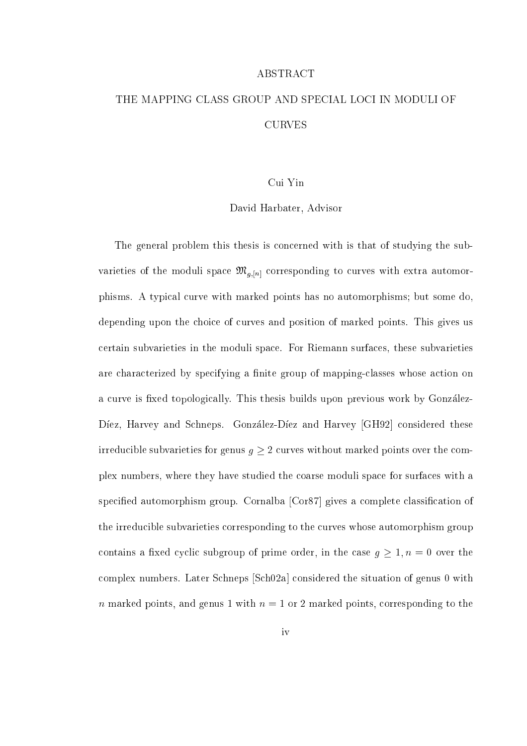#### ABSTRACT

## THE MAPPING CLASS GROUP AND SPECIAL LOCI IN MODULI OF **CURVES**

#### Cui Yin

#### David Harbater, Advisor

The general problem this thesis is on
erned with is that of studying the subvarieties of the moduli space  $\mathfrak{M}_{g,[n]}$  corresponding to curves with extra automorphisms. A typi
al urve with marked points has no automorphisms; but some do, depending upon the choice of curves and position of marked points. This gives us ertain subvarieties in the moduli spa
e. For Riemann surfa
es, these subvarieties are characterized by specifying a finite group of mapping-classes whose action on a curve is fixed topologically. This thesis builds upon previous work by González-Diez, Harvey and Schneps. González-Diez and Harvey [GH92] considered these irreducible subvarieties for genus  $g \geq 2$  curves without marked points over the complex numbers, where they have studied the oarse moduli spa
e for surfa
es with a specified automorphism group. Cornalba [Cor87] gives a complete classification of the irreducible subvarieties corresponding to the curves whose automorphism group contains a fixed cyclic subgroup of prime order, in the case  $g \ge 1, n = 0$  over the complex numbers. Later Schneps [Sch02a] considered the situation of genus 0 with n marked points, and genus 1 with  $n = 1$  or 2 marked points, corresponding to the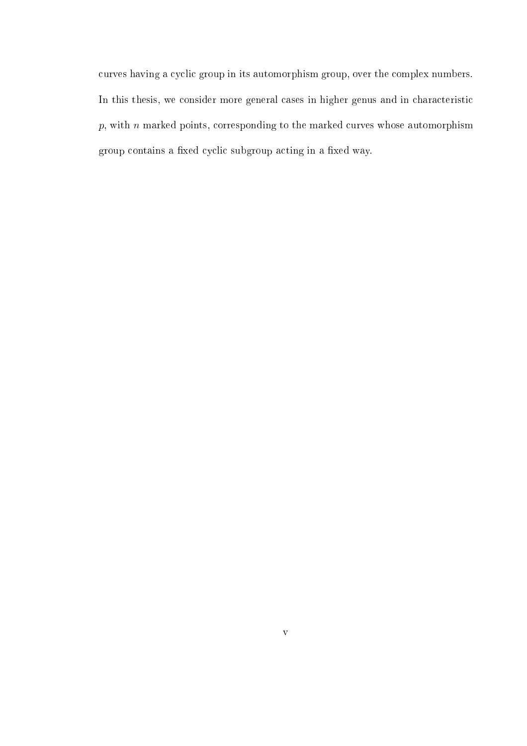curves having a cyclic group in its automorphism group, over the complex numbers. In this thesis, we consider more general cases in higher genus and in characteristic  $p$ , with  $n$  marked points, corresponding to the marked curves whose automorphism group contains a fixed cyclic subgroup acting in a fixed way.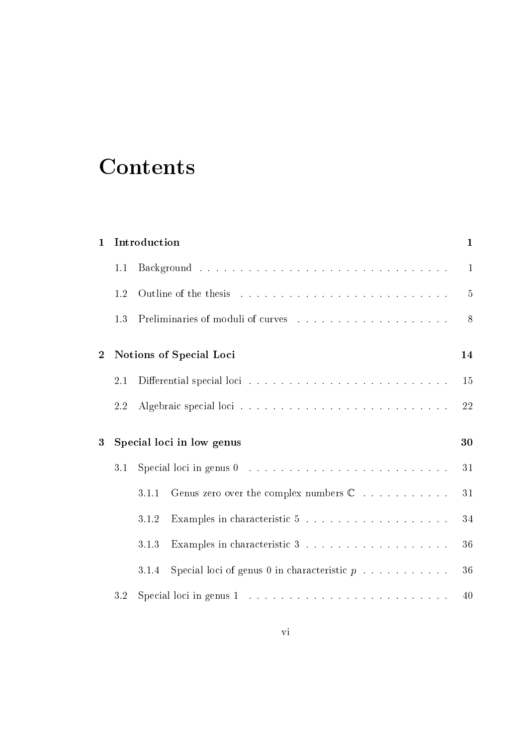# **Contents**

| $\mathbf 1$    |         | Introduction                                                                          | $\mathbf{1}$   |
|----------------|---------|---------------------------------------------------------------------------------------|----------------|
|                | 1.1     |                                                                                       | $\mathbf{1}$   |
|                | 1.2     |                                                                                       | $\overline{5}$ |
|                | 1.3     |                                                                                       | 8              |
| $\overline{2}$ |         | Notions of Special Loci                                                               | 14             |
|                | $2.1\,$ |                                                                                       | 15             |
|                | 2.2     |                                                                                       | 22             |
| 3              |         | Special loci in low genus                                                             | 30             |
|                | 3.1     | Special loci in genus $0 \dots \dots \dots \dots \dots \dots \dots \dots \dots \dots$ | 31             |
|                |         | Genus zero over the complex numbers $\mathbb C$<br>3.1.1                              | 31             |
|                |         | 3.1.2                                                                                 | 34             |
|                |         | Examples in characteristic $3 \ldots \ldots \ldots \ldots \ldots \ldots$<br>3.1.3     | 36             |
|                |         | Special loci of genus 0 in characteristic $p \ldots \ldots \ldots$<br>3.1.4           | 36             |
|                | 3.2     |                                                                                       | 40             |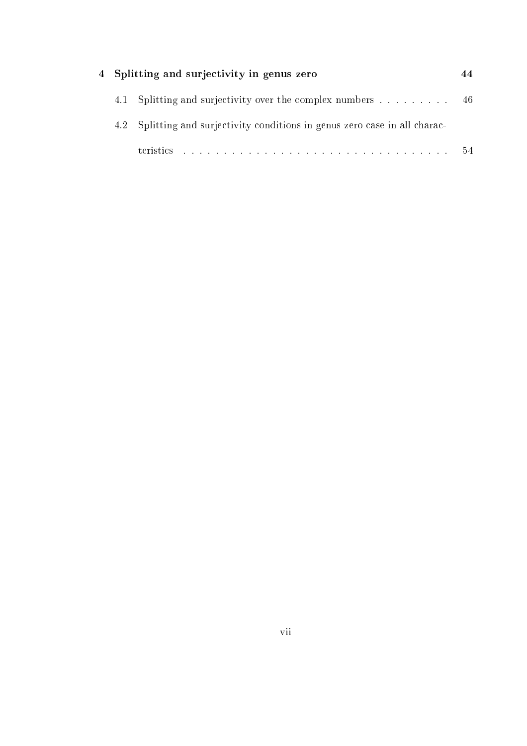|  | 4 Splitting and surjectivity in genus zero                                  |      |
|--|-----------------------------------------------------------------------------|------|
|  | 4.1 Splitting and surjectivity over the complex numbers  46                 |      |
|  | 4.2 Splitting and surjectivity conditions in genus zero case in all charac- |      |
|  |                                                                             | - 54 |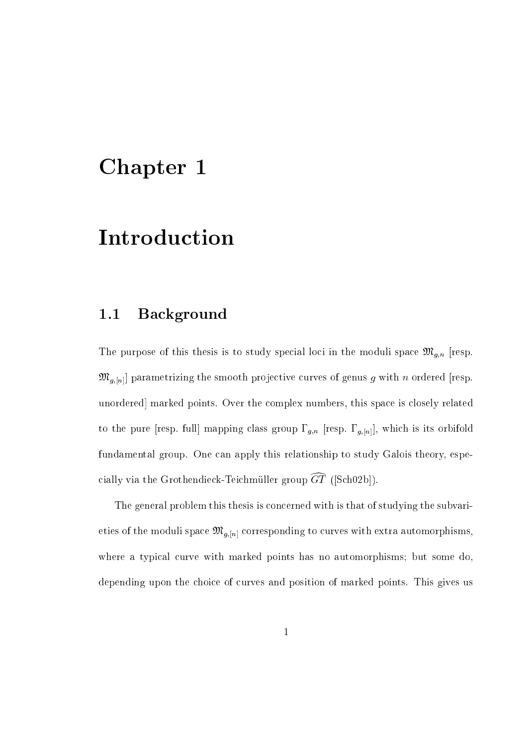## Chapter 1

# **Introduction**

## 1.1 Ba
kground

The purpose of the model is to study species to species in the model is the model of purpose  $\mu$  if  $\mu$  is the  $\mathfrak{M}_{g,[n]}$  parametrizing the smooth projective curves of genus g with n ordered [resp. unordered marked points. Over the complex numbers, this space is closely related to the pure is its orbital mapping description of the pure full terms in full there are no contracted fundamental group. One can apply this relationship to study Galois theory, especially via the Grothendieck-Teichmüller group  $\widehat{GT}$  ([Sch02b]).

The general problem this thesis is on
erned with is that of studying the subvarieties of the moduli space  $\mathfrak{M}_{g,[n]}$  corresponding to curves with extra automorphisms, where a typical curve with marked points has no automorphisms; but some do, depending upon the choice of curves and position of marked points. This gives us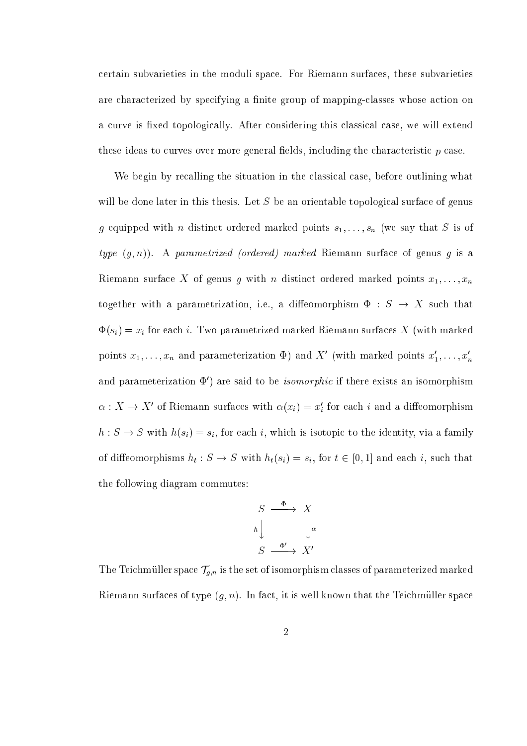ertain subvarieties in the moduli spa
e. For Riemann surfa
es, these subvarieties are characterized by specifying a finite group of mapping-classes whose action on a curve is fixed topologically. After considering this classical case, we will extend these ideas to curves over more general fields, including the characteristic  $p$  case.

We begin by recalling the situation in the classical case, before outlining what will be done later in this thesis. Let  $S$  be an orientable topological surface of genus g equipped with n distinct ordered marked points  $s_1, \ldots, s_n$  (we say that S is of type  $(g, n)$ ). A parametrized (ordered) marked Riemann surface of genus g is a Riemann surface X of genus g with n distinct ordered marked points  $x_1, \ldots, x_n$ together with a parametrization, i.e., a diffeomorphism  $\Phi$  :  $S \rightarrow X$  such that (si)  $\frac{1}{2}$  (with marked marked marked marked  $\frac{1}{2}$  (with marked marked marked marked marked marked marked marked marked marked marked marked marked marked marked marked marked marked marked marked marked marked ma points  $x_1, \ldots, x_n$  and parameterization  $\Psi$ ) and  $\Lambda$  (with marked points  $x_1, \ldots, x_n$ and parameterization  $\Psi$  ) are said to be *isomorphic* if there exists an isomorphism  $\alpha: \lambda \to \lambda$  of Kiemann surfaces with  $\alpha(x_i) = x_i$  for each  $i$  and a diffeomorphism  $h: S \to S$  with  $h(s_i) = s_i$ , for each i, which is isotopic to the identity, via a family of diese state here is such that  $\alpha$  is such that  $\alpha$  is a form of  $\alpha$  and  $\alpha$  is a such that  $\alpha$ the following diagram ommutes:

$$
S \xrightarrow{\Phi} X
$$
  
\n
$$
h \downarrow \qquad \qquad \downarrow \alpha
$$
  
\n
$$
S \xrightarrow{\Phi'} X'
$$

The Teil the Teil is the Taurus of isomorphism is the set of the set of parameters of parameterized marked marked Riemann surfaces of type  $(g, n)$ . In fact, it is well known that the Teichmüller space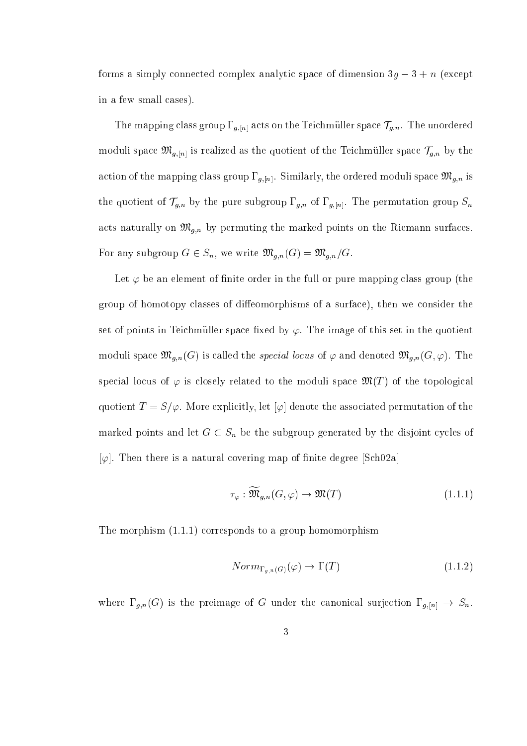forms a simply connected complex analytic space of dimension  $3g - 3 + n$  (except in a few small cases).

The mapping class group  $\Gamma_{g,[n]}$  acts on the Teichmüller space  $\mathcal{T}_{g,n}$ . The unordered moduli space  $\mathfrak{M}_{g,[n]}$  is realized as the quotient of the Teichmüller space  $\mathcal{T}_{g,n}$  by the action of the mapping class group  $\Gamma_{g,[n]}$ . Similarly, the ordered moduli space  $\mathfrak{M}_{g,n}$  is the group of the pure subgroup g;n by the pure subgroup  $\alpha$  of  $\alpha$  in the permutation group  $\alpha$  of  $\alpha$  in the permutation group  $\alpha$ ats naturally on Mg;n by permuting the marked points on the marked points on the Markedon surface on the Riema For any subgroup  $G \in S_n$ , we write  $\mathfrak{M}_{g,n}(G) = \mathfrak{M}_{g,n}/G$ .

Let  $\varphi$  be an element of finite order in the full or pure mapping class group (the group of homotopy classes of diffeomorphisms of a surface), then we consider the set of points in Teichmüller space fixed by  $\varphi$ . The image of this set in the quotient moduli space  $\mathfrak{M}_{g,n}(G)$  is called the *special locus* of  $\varphi$  and denoted  $\mathfrak{M}_{g,n}(G,\varphi)$ . The special locus of  $\varphi$  is closely related to the moduli space  $\mathfrak{M}(T)$  of the topological quotient  $T = S/\varphi$ . More explicitly, let  $[\varphi]$  denote the associated permutation of the let and let  $S$  be the substitution of  $S$  ,  $S$  be the subgroup generated by the distortion of the distortion  $[\varphi]$ . Then there is a natural covering map of finite degree  $[Sch02a]$ 

$$
\tau_{\varphi} : \widetilde{\mathfrak{M}}_{g,n}(G,\varphi) \to \mathfrak{M}(T) \tag{1.1.1}
$$

The morphism (1.1.1) orresponds to a group homomorphism

$$
Norm_{\Gamma_{q,n}(G)}(\varphi) \to \Gamma(T) \tag{1.1.2}
$$

where  $\Gamma_{g,n}(G)$  is the preimage of G under the canonical surjection  $\Gamma_{g,[n]} \to S_n$ .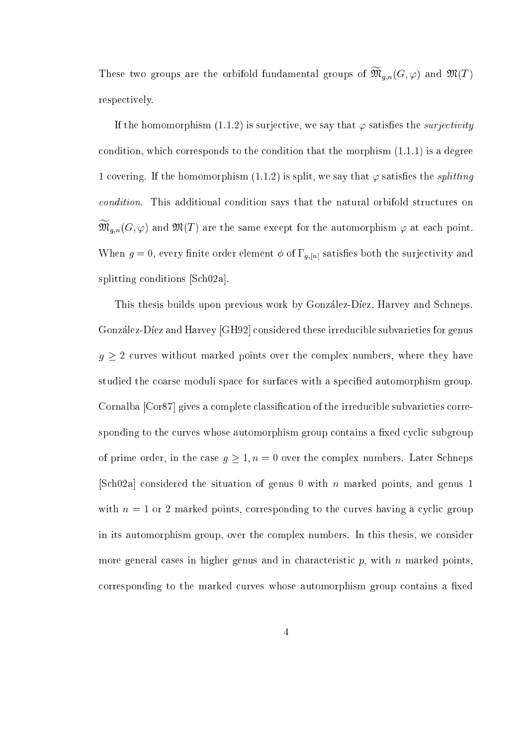These two groups are the orbifold fundamental groups of  $\mathfrak{M}_{q,n}(G,\varphi)$  and  $\mathfrak{M}(T)$ respe
tively.

If the homomorphism (1.1.2) is surjective, we say that  $\varphi$  satisfies the *surjectivity* condition, which corresponds to the condition that the morphism  $(1.1.1)$  is a degree 1 covering. If the homomorphism  $(1.1.2)$  is split, we say that  $\varphi$  satisfies the *splitting* condition. This additional condition says that the natural orbifold structures on  $\mathfrak{M}_{q,n}(G,\varphi)$  and  $\mathfrak{M}(T)$  are the same except for the automorphism  $\varphi$  at each point. When  $g = 0$ , every finite order element  $\phi$  of  $\Gamma_{g,[n]}$  satisfies both the surjectivity and splitting conditions [Sch02a].

This thesis builds upon previous work by González-Díez, Harvey and Schneps. González-Díez and Harvey [GH92] considered these irreducible subvarieties for genus  $g \geq 2$  curves without marked points over the complex numbers, where they have studied the coarse moduli space for surfaces with a specified automorphism group. Cornalba [Cor87] gives a complete classification of the irreducible subvarieties corresponding to the curves whose automorphism group contains a fixed cyclic subgroup of prime order, in the case  $g \geq 1, n = 0$  over the complex numbers. Later Schneps [Sch02a] considered the situation of genus 0 with n marked points, and genus 1 with  $n = 1$  or 2 marked points, corresponding to the curves having a cyclic group in its automorphism group, over the omplex numbers. In this thesis, we onsider more general cases in higher genus and in characteristic  $p$ , with  $n$  marked points, corresponding to the marked curves whose automorphism group contains a fixed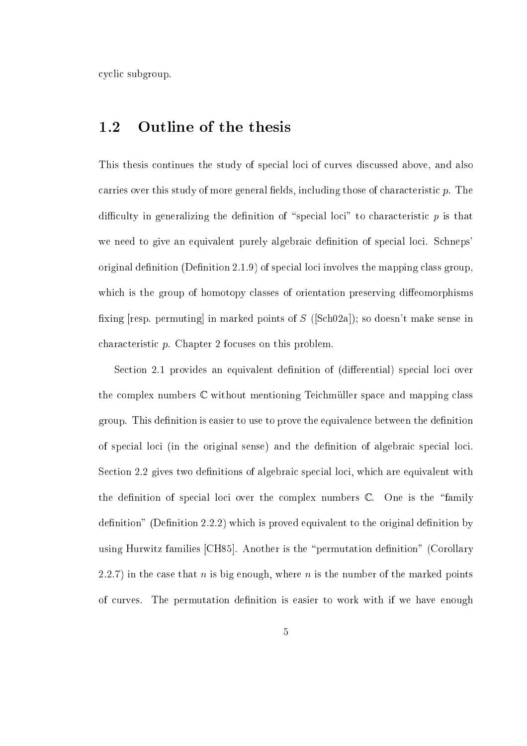cyclic subgroup.

### 1.2 Outline of the thesis

This thesis continues the study of special loci of curves discussed above, and also carries over this study of more general fields, including those of characteristic  $p$ . The difficulty in generalizing the definition of "special loci" to characteristic  $p$  is that we need to give an equivalent purely algebraic definition of special loci. Schneps' original definition  $(Definition 2.1.9)$  of special loci involves the mapping class group, which is the group of homotopy classes of orientation preserving diffeomorphisms fixing [resp. permuting] in marked points of  $S$  ([Sch02a]); so doesn't make sense in characteristic p. Chapter 2 focuses on this problem.

Section 2.1 provides an equivalent definition of (differential) special loci over the complex numbers  $\mathbb C$  without mentioning Teichmüller space and mapping class group. This definition is easier to use to prove the equivalence between the definition of special loci (in the original sense) and the definition of algebraic special loci. Section 2.2 gives two definitions of algebraic special loci, which are equivalent with the definition of special loci over the complex numbers  $\mathbb{C}$ . One is the "family"  $definition"$  (Definition 2.2.2) which is proved equivalent to the original definition by using Hurwitz families  $[CH85]$ . Another is the "permutation definition" (Corollary 2.2.7) in the case that *n* is big enough, where *n* is the number of the marked points of curves. The permutation definition is easier to work with if we have enough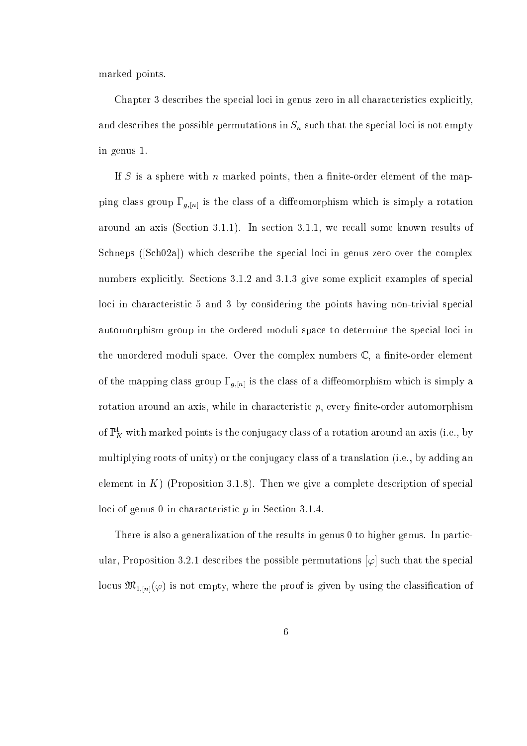marked points.

Chapter 3 describes the special loci in genus zero in all characteristics explicitly, and describes the possible permutations in Sn substance of  $\mu$  is not the special local contract of the special in genus 1.

If S is a sphere with n marked points, then a finite-order element of the mapping class group  $\Gamma_{g,[n]}$  is the class of a diffeomorphism which is simply a rotation around an axis (Section 3.1.1). In section 3.1.1, we recall some known results of Schneps (Sch02a) which describe the special loci in genus zero over the complex numbers explicitly. Sections 3.1.2 and 3.1.3 give some explicit examples of special loci in characteristic 5 and 3 by considering the points having non-trivial special automorphism group in the ordered moduli space to determine the special loci in the unordered moduli space. Over the complex numbers  $\mathbb{C}$ , a finite-order element of the mapping class group  $\Gamma_{g,[n]}$  is the class of a diffeomorphism which is simply a rotation around an axis, while in characteristic  $p$ , every finite-order automorphism of  $\mathbb{P}^1_K$  with marked points is the conjugacy class of a rotation around an axis (i.e., by multiplying roots of unity) or the conjugacy class of a translation (i.e., by adding an element in  $K$ ) (Proposition 3.1.8). Then we give a complete description of special loci of genus 0 in characteristic  $p$  in Section 3.1.4.

There is also a generalization of the results in genus 0 to higher genus. In particular, Proposition 3.2.1 describes the possible permutations  $[\varphi]$  such that the special locus  $\mathfrak{M}_{1,[n]}(\varphi)$  is not empty, where the proof is given by using the classification of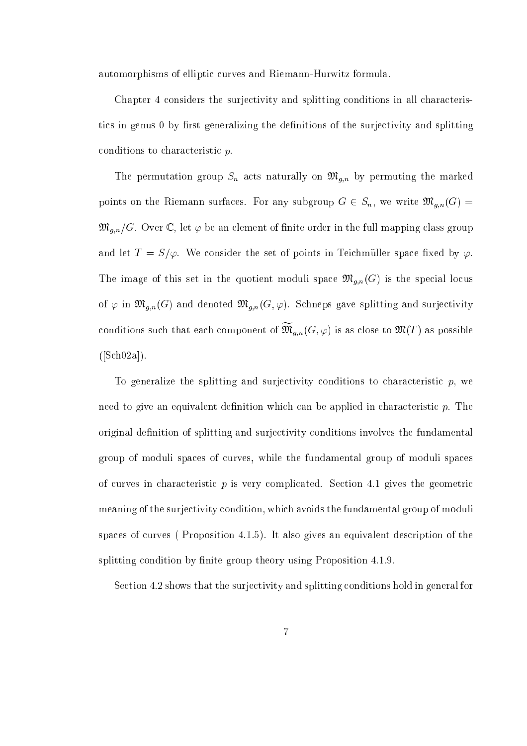automorphisms of elliptic curves and Riemann-Hurwitz formula.

Chapter 4 considers the surjectivity and splitting conditions in all characteristics in genus 0 by first generalizing the definitions of the surjectivity and splitting conditions to characteristic p.

The permutation group  $\alpha$  and  $\alpha$  are marked the marked the marked the marked the marked  $\alpha$ points on the Riemann surfaces. For any subgroup  $G \in S_n$ , we write  $\mathfrak{M}_{g,n}(G) =$  $\mathfrak{M}_{g,n}/G$ . Over C, let  $\varphi$  be an element of finite order in the full mapping class group and let  $T = S/\varphi$ . We consider the set of points in Teichmüller space fixed by  $\varphi$ . The image of this set in the quotient moduli space  $\mathfrak{M}_{g,n}(G)$  is the special locus of  $\varphi$  in  $\mathfrak{M}_{g,n}(G)$  and denoted  $\mathfrak{M}_{g,n}(G,\varphi)$ . Schneps gave splitting and surjectivity conditions such that each component of  $\mathfrak{M}_{q,n}(G,\varphi)$  is as close to  $\mathfrak{M}(T)$  as possible  $([Sch 02a]).$ 

To generalize the splitting and surjectivity conditions to characteristic  $p$ , we need to give an equivalent definition which can be applied in characteristic  $p$ . The original definition of splitting and surjectivity conditions involves the fundamental group of moduli spa
es of urves, while the fundamental group of moduli spa
es of curves in characteristic  $p$  is very complicated. Section 4.1 gives the geometric meaning of the surje
tivity ondition, whi
h avoids the fundamental group of moduli spaces of curves (Proposition 4.1.5). It also gives an equivalent description of the splitting condition by finite group theory using Proposition 4.1.9.

Section 4.2 shows that the surjectivity and splitting conditions hold in general for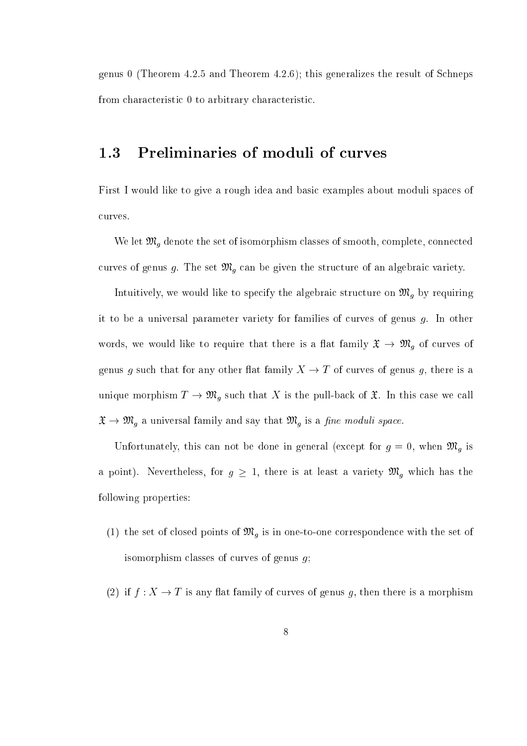genus 0 (Theorem 4.2.5 and Theorem 4.2.6); this generalizes the result of Schneps from characteristic 0 to arbitrary characteristic.

## 1.3 Preliminaries of moduli of urves

First I would like to give a rough idea and basi examples about moduli spa
es of urves.

We let Mg denote the set of isomorphism lasses of smooth, omplete, onne
ted urves of genus g. The set Mg () the structure of an algebraic of the structure of the structure.

iful it is a good to specific the algebraic to specific the algebraic to specific the algebraic to the specifi it to be a universal parameter variety for families of curves of genus  $g$ . In other words, we would like to require the same is a series of the there is a there is a  $\eta$  of  $\eta$ genus g such that for any other flat family  $X \to T$  of curves of genus g, there is a unique morte pulle-base of the substitution of the pull-base of the pull-base we have the pull-base of this th <sup>X</sup> ! Mg <sup>a</sup> universal family and say that Mg is <sup>a</sup> ne moduli spa
e.

under the double the domestic contracts of the detection (except for all  $\beta$  , when Mg is an  $\eta$  and a point  $M = \frac{1}{2}$  there is at least a variety Mg which a variety  $M$ following properties:

- (1) the set of losed points of Mg is in one-to-one orresponden
e with the set of isomorphism classes of curves of genus  $g$ ;
- (2) if  $f: X \to T$  is any flat family of curves of genus g, then there is a morphism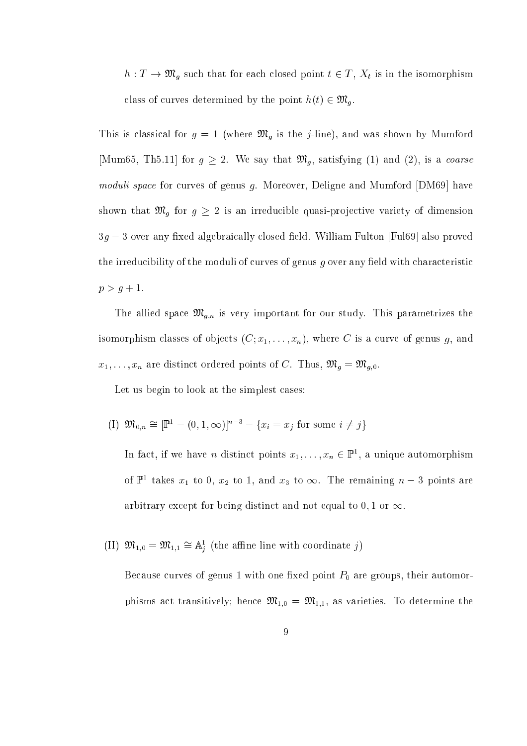h : T ! Mg su
h that for ea
h losed point <sup>t</sup> <sup>2</sup> <sup>T</sup> , Xt is in the isomorphism lass of the point of the point heads of the point of the point  $\mathcal{U}$  . The point  $\mathcal{U}$ 

recovers is the form in the joint of the form and was shown by Mumford Management and was shown by Mumford Mum  $\Gamma$  for a form  $\Gamma$  for g  $\Gamma$   $\Gamma$  , is a form of  $\Gamma$  , is a form  $\Gamma$  , is a form of  $\Gamma$ moduli space for curves of genus g. Moreover, Deligne and Mumford [DM69] have that March that Mg for g 2 is an interesting of dimensional programs where  $\gamma$  is an interesting  $3g-3$  over any fixed algebraically closed field. William Fulton [Ful69] also proved the irreducibility of the moduli of curves of genus  $q$  over any field with characteristic  $p > g + 1.$ 

The alliest space of the alliest the main study. The second study is very study, the study of the study of the isomorphism classes of objects  $(C; x_1, \ldots, x_n)$ , where C is a curve of genus g, and  $x_1, \ldots, x_n$  are distinct ordered points of C. Thus,  $\mathfrak{M}_g = \mathfrak{M}_{g,0}$ .

Let us begin to look at the simplest cases:

(I)  $\mathfrak{M}_{0,n} \cong [\mathbb{P}^1 - (0,1,\infty)]^{n-3} - \{x_i = x_j \text{ for some } i \neq j\}$ 

In fact, if we have *n* distinct points  $x_1, \ldots, x_n \in \mathbb{P}^1$ , a unique automorphism of  $\mathbb{P}^1$  takes  $x_1$  to 0,  $x_2$  to 1, and  $x_3$  to  $\infty$ . The remaining  $n-3$  points are arbitrary except for being distinct and not equal to 0, 1 or  $\infty$ .

(II)  $\mathfrak{M}_{1,0} = \mathfrak{M}_{1,1} \cong \mathbb{A}_i^1$  (the affine line with coordinate j)

Because curves of genus 1 with one fixed point  $P_0$  are groups, their automorphisms act transitively; hence  $\mathfrak{M}_{1,0} = \mathfrak{M}_{1,1}$ , as varieties. To determine the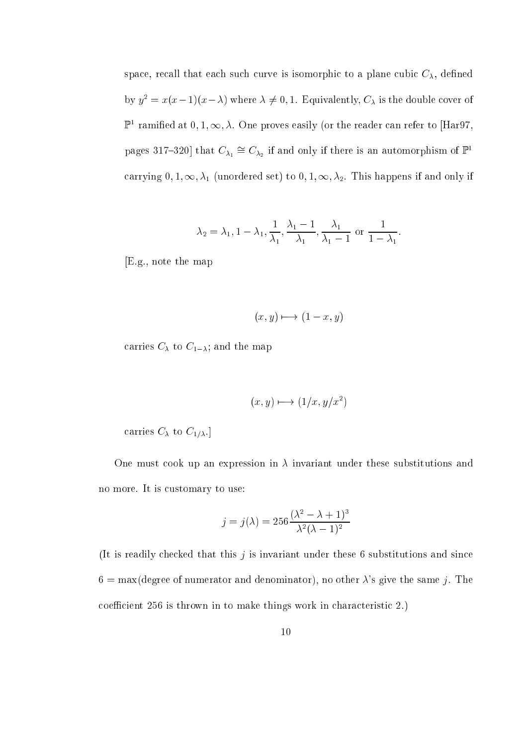space, recall that each such curve is isomorphic to a plane cubic  $C_{\lambda}$ , defined by  $y^2 = x(x-1)(x-\lambda)$  where  $\lambda \neq 0, 1$ . Equivalently,  $C_\lambda$  is the double cover of  $\mathbb{P}^1$  ramified at 0, 1,  $\infty$ ,  $\lambda$ . One proves easily (or the reader can refer to |Har97, pages 317–320 that  $C_{\lambda_1} \cong C_{\lambda_2}$  if and only if there is an automorphism of  $\mathbb{P}^1$ carrying  $0, 1, \infty, \lambda_1$  (unordered set) to  $0, 1, \infty, \lambda_2$ . This happens if and only if

$$
\lambda_2 = \lambda_1, 1 - \lambda_1, \frac{1}{\lambda_1}, \frac{\lambda_1 - 1}{\lambda_1}, \frac{\lambda_1}{\lambda_1 - 1}
$$
 or  $\frac{1}{1 - \lambda_1}$ .

[E.g., note the map

$$
(x, y) \longmapsto (1 - x, y)
$$

arrives C to C1; and the map  $\mathbf{r}$ 

$$
(x, y) \mapsto (1/x, y/x^2)
$$

arrives C to C1:  $\alpha$  -  $\alpha$  is constant constant constant constant constant constant constant constant constant constant constant constant constant constant constant constant constant constant constant constant constant

One must cook up an expression in  $\lambda$  invariant under these substitutions and no more. It is ustomary to use:

$$
j = j(\lambda) = 256 \frac{(\lambda^2 - \lambda + 1)^3}{\lambda^2 (\lambda - 1)^2}
$$

(It is readily checked that this  $j$  is invariant under these 6 substitutions and since  $6 = \max(\text{degree of numerator and denominator}),$  no other  $\lambda$ 's give the same j. The coefficient 256 is thrown in to make things work in characteristic 2.)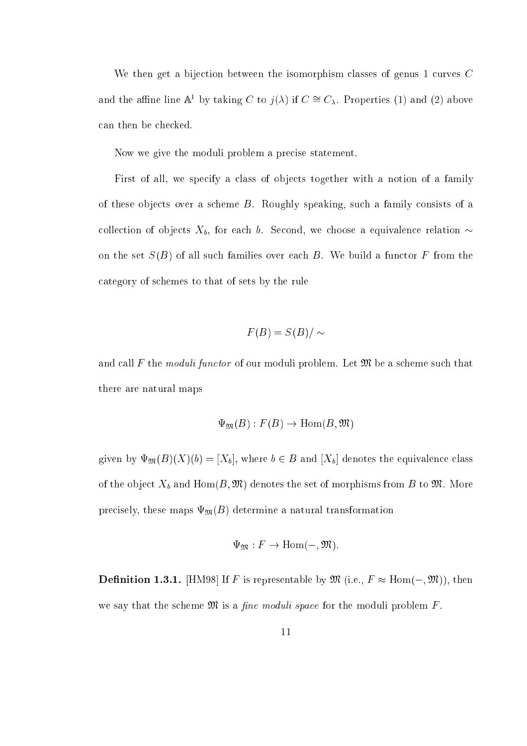We then get a bijection between the isomorphism classes of genus  $1$  curves  $C$ and the affine line  $\mathbb{A}^1$  by taking C to  $j(\lambda)$  if  $C \cong C_{\lambda}$ . Properties (1) and (2) above an then be he
ked.

Now we give the moduli problem a pre
ise statement.

First of all, we specify a class of objects together with a notion of a family of these obje
ts over a s
heme B. Roughly speaking, su
h a family onsists of a collection of objects  $X_b$ , for each b. Second, we choose a equivalence relation  $\sim$ on the set  $S(B)$  of all such families over each B. We build a functor F from the ategory of s
hemes to that of sets by the rule

$$
F(B) = S(B) / \sim
$$

and call F the moduli functor of our moduli problem. Let  $\mathfrak{M}$  be a scheme such that there are natural maps

$$
\Psi_{\mathfrak{M}}(B): F(B) \to \text{Hom}(B, \mathfrak{M})
$$

given by  $\Psi_{\mathfrak{M}}(B)(X)(b) = [X_b]$ , where  $b \in B$  and  $[X_b]$  denotes the equivalence class the the object the objective the set of morphisms from B to Andre More the set of more to M. More to M. More t precisely, these maps  $\Psi_{\mathfrak{M}}(B)$  determine a natural transformation

$$
\Psi_{\mathfrak{M}}: F \to \mathrm{Hom}(-, \mathfrak{M}).
$$

Denition 1.3.1. [HM98℄ If F is representable by <sup>M</sup> (i.e., F Hom(;M)), then we say that the scheme  $\mathfrak{M}$  is a *fine moduli space* for the moduli problem  $F$ .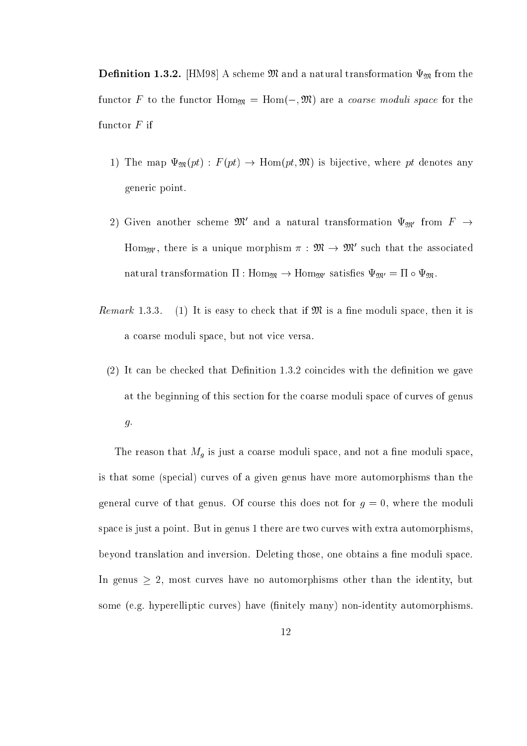de commented and international transformation and commences of commenters and international transformation  $\sim$ functor F to the functor  $\text{Hom}_{\mathfrak{M}} = \text{Hom}(-, \mathfrak{M})$  are a *coarse moduli space* for the functor  $F$  if

- 1) The map  $\Psi_{\mathfrak{M}}(pt) : F(pt) \to \text{Hom}(pt, \mathfrak{M})$  is bijective, where pt denotes any generi point.
- $\omega$ ) Given another scheme  $\omega$ t and a natural transformation  $\Psi_{\mathfrak{M}'}$  from  $F$   $\rightarrow$ Hom<sub>M'</sub>, there is a unique morphism  $\pi : \mathcal{M} \to \mathcal{M}$  such that the associated natural transformation  $\Pi : \text{Hom}_{\mathfrak{M}} \to \text{Hom}_{\mathfrak{M}'}$  satisfies  $\Psi_{\mathfrak{M}'} = \Pi \circ \Psi_{\mathfrak{M}}$ .
- *Remark* 1.3.3. (1) It is easy to check that if  $\mathfrak{M}$  is a fine moduli space, then it is a oarse moduli spa
e, but not vi
e versa.
	- $(2)$  It can be checked that Definition 1.3.2 coincides with the definition we gave at the beginning of this se
	tion for the oarse moduli spa
	e of urves of genus g.

The reason that Mg is just <sup>a</sup> oarse moduli spa
e, and not <sup>a</sup> ne moduli spa
e, is that some (spe
ial) urves of a given genus have more automorphisms than the general curve of that genus. Of course this does not for  $g = 0$ , where the moduli space is just a point. But in genus 1 there are two curves with extra automorphisms, beyond translation and inversion. Deleting those, one obtains a fine moduli space. In genus  $\geq 2$ , most curves have no automorphisms other than the identity, but some (e.g. hyperelliptic curves) have (finitely many) non-identity automorphisms.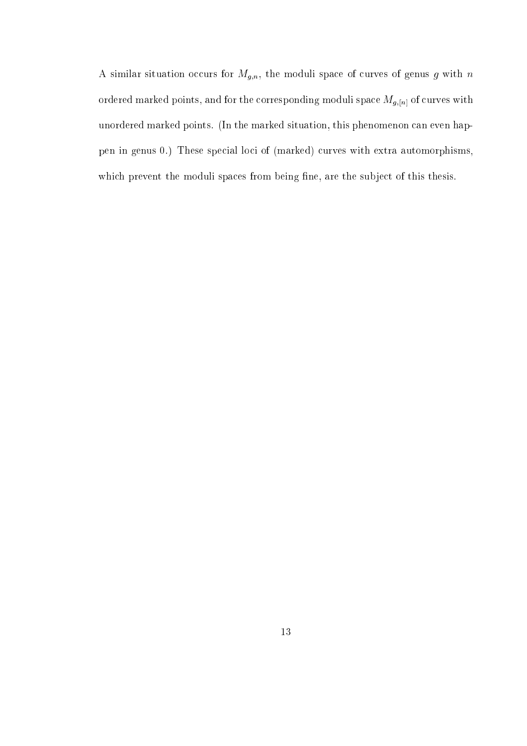A similar situation occurs for  $M_{g,n}$ , the moduli space of curves of genus g with n ordered marked points, and for the corresponding moduli space  $M_{g,[n]}$  of curves with unordered marked points. (In the marked situation, this phenomenon can even happen in genus 0.) These special loci of (marked) curves with extra automorphisms, which prevent the moduli spaces from being fine, are the subject of this thesis.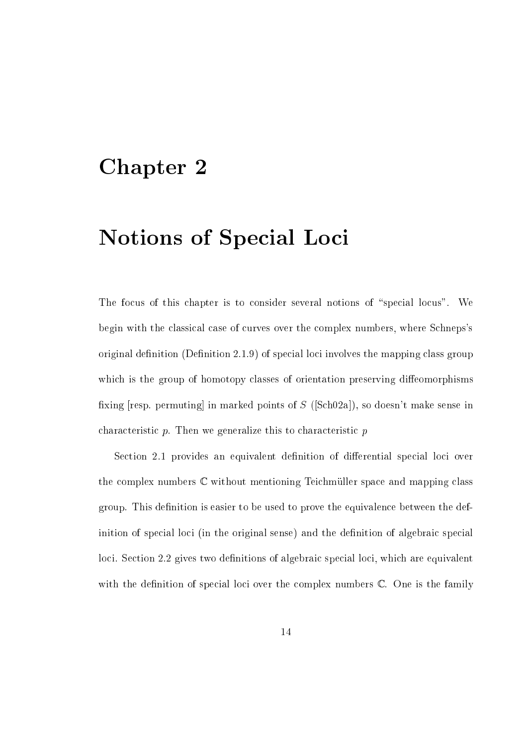## Chapter 2

# Notions of Special Loci

The focus of this chapter is to consider several notions of "special locus". We begin with the classical case of curves over the complex numbers, where Schneps's original definition  $(Definition 2.1.9)$  of special loci involves the mapping class group which is the group of homotopy classes of orientation preserving diffeomorphisms fixing [resp. permuting] in marked points of  $S$  ([Sch02a]), so doesn't make sense in characteristic  $p$ . Then we generalize this to characteristic  $p$ 

Section 2.1 provides an equivalent definition of differential special loci over the complex numbers  $\mathbb C$  without mentioning Teichmüller space and mapping class group. This definition is easier to be used to prove the equivalence between the definition of special loci (in the original sense) and the definition of algebraic special loci. Section 2.2 gives two definitions of algebraic special loci, which are equivalent with the definition of special loci over the complex numbers  $\mathbb{C}$ . One is the family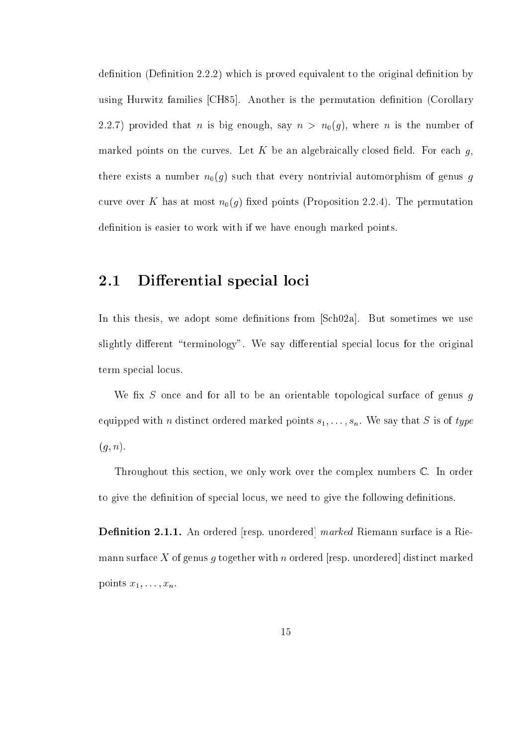$definition (Definition 2.2.2)$  which is proved equivalent to the original definition by using Hurwitz families [CH85]. Another is the permutation definition (Corollary 2.2.7) provided that *n* is big enough, say  $n > n_0(g)$ , where *n* is the number of marked points on the curves. Let K be an algebraically closed field. For each  $q$ , there exists a number  $n_0(g)$  such that every nontrivial automorphism of genus g curve over K has at most  $n_0(g)$  fixed points (Proposition 2.2.4). The permutation definition is easier to work with if we have enough marked points.

#### Differential special loci 2.1

In this thesis, we adopt some definitions from [Sch02a]. But sometimes we use slightly different "terminology". We say differential special locus for the original term special locus.

We fix S once and for all to be an orientable topological surface of genus  $q$ equipped with *n* distinct ordered marked points  $s_1, \ldots, s_n$ . We say that *S* is of type  $(g, n).$ 

Throughout this section, we only work over the complex numbers  $\mathbb{C}$ . In order to give the definition of special locus, we need to give the following definitions.

e is a control entered an ordered [resp. union and all marked Riemann surfaces of a Riemann surface X of genus g together with n ordered [resp. unordered] distinct marked points  $x_1, \ldots, x_n$ .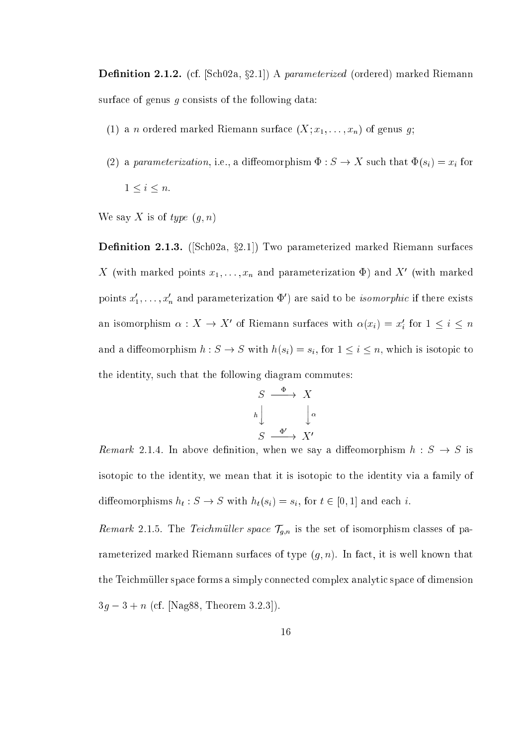Denition 2.1.2. (
f. [S
h02a, x2.1℄) A parameterized (ordered) marked Riemann surface of genus  $g$  consists of the following data:

- (1) a *n* ordered marked Riemann surface  $(X; x_1, \ldots, x_n)$  of genus g;
- (2) a parameterization, i.e., a dieomorphism : S ! X su
h that (si) = xi for  $1 \leq i \leq n$ .

We say X is of type  $(g, n)$ 

Denition 2.1.3. ([S
h02a, x2.1℄) Two parameterized marked Riemann surfa
es  $\Lambda$  (with marked points  $x_1, \ldots, x_n$  and parameterization  $\Psi$ ) and  $\Lambda$  (with marked points  $x_1, \ldots, x_n$  and parameterization  $\Psi$  ) are said to be *isomorphic* if there exists an isomorphism  $\alpha: A \to A$  of Riemann surfaces with  $\alpha(x_i) = x_i$  for  $1 \leq i \leq n$ and a diffeomorphism  $h: S \to S$  with  $h(s_i) = s_i$ , for  $1 \leq i \leq n$ , which is isotopic to the identity, su
h that the following diagram ommutes:

$$
S \xrightarrow{\Phi} X
$$
  
\n
$$
h \downarrow \qquad \qquad \downarrow \alpha
$$
  
\n
$$
S \xrightarrow{\Phi'} X'
$$

Remark 2.1.4. In above definition, when we say a diffeomorphism  $h: S \rightarrow S$  is isotopi to the identity, we mean that it is isotopi to the identity via a family of diese besteht is stated to the state of the significant control to the significant control to the significant o

remarks 2.1.5. The Teil is the space of  $\mathcal{L}_p$  is the space of the set of parameters of particles of  $p$  at rameterized marked Riemann surfaces of type  $(g, n)$ . In fact, it is well known that the Teichmüller space forms a simply connected complex analytic space of dimension  $3g - 3 + n$  (cf. [Nag88, Theorem 3.2.3]).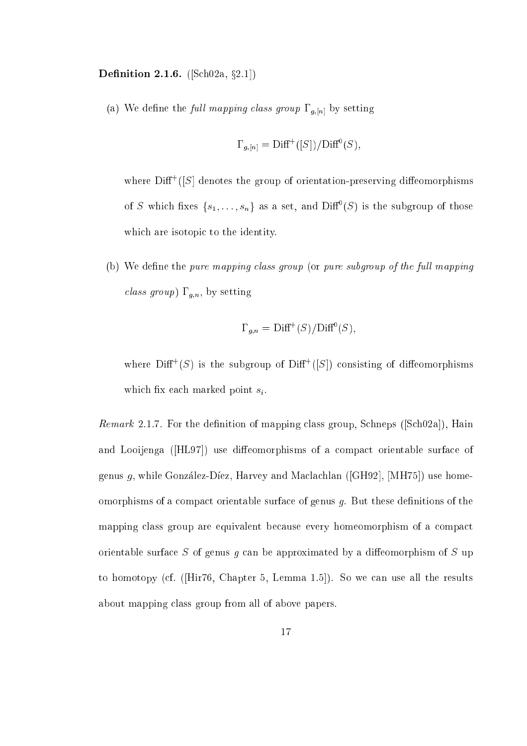Denition 2.1.6. ([S
h02a, x2.1℄)

(a) We define the full mapping class group  $\Gamma_{g,[n]}$  by setting

$$
\Gamma_{g,[n]} = \text{Diff}^+([S]) / \text{Diff}^0(S),
$$

where  $\text{Diff}^+(S)$  denotes the group of orientation-preserving diffeomorphisms of 5 which fixes  $\{s_1,\ldots,s_n\}$  as a set, and  $D(\Pi^-(S))$  is the subgroup of those which are isotopic to the identity.

(b) We define the pure mapping class group (or pure subgroup of the full mapping *class group*)  $\Gamma_{g,n}$ , by setting

$$
\Gamma_{g,n} = \text{Diff}^+(S)/\text{Diff}^0(S),
$$

where  $\text{Diff}^+(S)$  is the subgroup of  $\text{Diff}^+(S|)$  consisting of diffeomorphisms which fix each marked point  $s_i$ .

*Remark* 2.1.7. For the definition of mapping class group, Schneps ([Sch02a]), Hain and Looijenga ([HL97]) use diffeomorphisms of a compact orientable surface of genus g, while González-Díez, Harvey and Maclachlan ([GH92], [MH75]) use homeomorphisms of a compact orientable surface of genus  $q$ . But these definitions of the mapping class group are equivalent because every homeomorphism of a compact orientable surface  $S$  of genus  $g$  can be approximated by a diffeomorphism of  $S$  up to homotopy (cf.  $([Hir76, Chapter 5, Lemma 1.5])$ ). So we can use all the results about mapping lass group from all of above papers.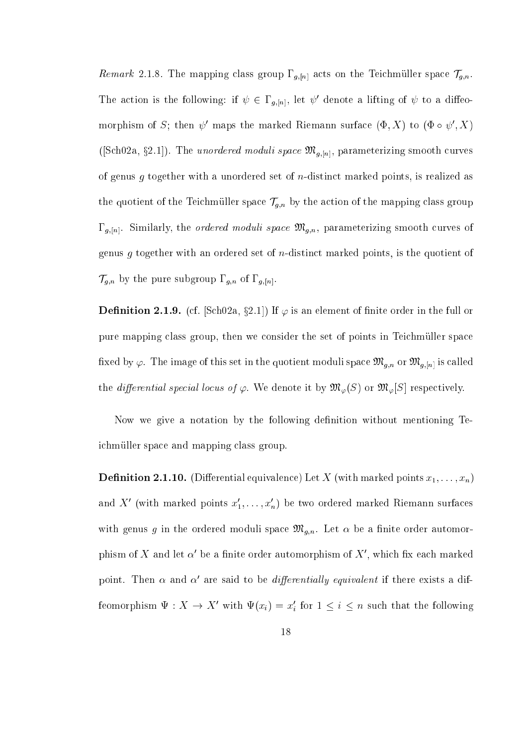Remark 2.1.8. The mapping class group  $\Gamma_{g,[n]}$  acts on the Teichmüller space  $\mathcal{T}_{g,n}$ . The action is the following: if  $\psi \in L_{a,[n]}$ , let  $\psi$  denote a lifting of  $\psi$  to a diffeomorphism of  $S$ ; then  $\psi$  -maps the marked Kiemann surface  $(\Psi, \Lambda)$  to  $(\Psi \circ \psi, \Lambda)$ ([Sch02a, §2.1]). The *unordered moduli space*  $\mathfrak{M}_{g,[n]}$ , parameterizing smooth curves of genus g together with a unordered set of n-distin
t marked points, is realized as the contract of the mapping of the mapping of the mapping of the mapping of the mapping of the mapping of the mapping of the mapping of the mapping of the mapping of the mapping of the mapping of the mapping of the mappin  $\Gamma_{g,[n]}$ . Similarly, the *ordered moduli space*  $\mathfrak{M}_{g,n}$ , parameterizing smooth curves of genus  $g$  together with an ordered set of  $n$ -distinct marked points, is the quotient of  $T$ g;n by the pure subset of  $T$  of  $T$  of  $T$  of  $T$  or  $T$  or  $T$  or  $T$  or  $T$  or  $T$  or  $T$  or  $T$  or  $T$  or  $T$  or  $T$  or  $T$  or  $T$  or  $T$  or  $T$  or  $T$  or  $T$  or  $T$  or  $T$  or  $T$  or  $T$  or  $T$  or  $T$  or  $T$  or  $T$ 

**Definition 2.1.9.** (cf.  $|SchUZa, gZ.1|$ ) If  $\varphi$  is an element of finite order in the full or pure mapping class group, then we consider the set of points in Teichmüller space fixed by  $\varphi$ . The image of this set in the quotient moduli space  $\mathfrak{M}_{g,n}$  or  $\mathfrak{M}_{g,[n]}$  is called the differential special locus of  $\varphi$ . We denote it by  $\mathfrak{M}_{\varphi}(S)$  or  $\mathfrak{M}_{\varphi}[S]$  respectively.

Now we give a notation by the following definition without mentioning Teich muller space and mapping class group.

Denition 2.1.10. (Dierential equivalen
e) Let X (with marked points x1; : : : ; xn) and  $\Lambda$  (with marked points  $x_1, \ldots, x_n$ ) be two ordered marked Kiemann surfaces with genus g in the ordered moduli space  $\mathfrak{M}_{g,n}$ . Let  $\alpha$  be a finite order automorphism of  $\Lambda$  and let  $\alpha$  be a nnite order automorphism of  $\Lambda$  , which iix each marked point. Then  $\alpha$  and  $\alpha$  are said to be *aifferentially equivalent* if there exists a difreomorphism  $\Psi : A \to A$  with  $\Psi(x_i) = x_i$  for  $1 \leq i \leq n$  such that the following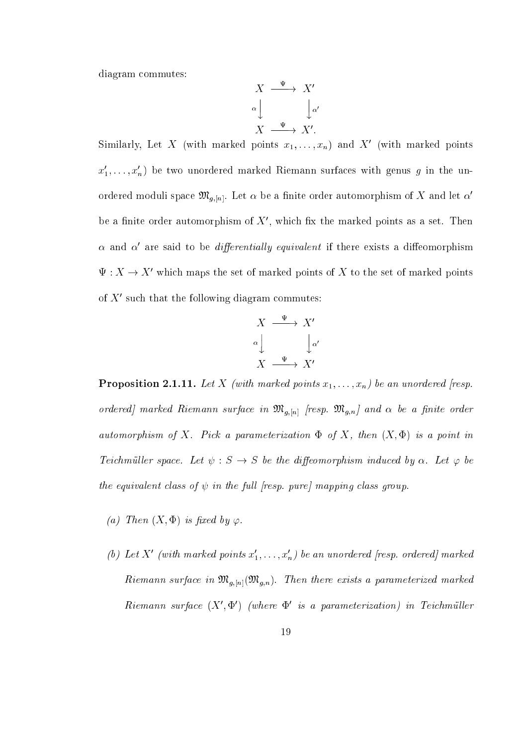diagram ommutes:

$$
X \xrightarrow{\Psi} X'
$$
  

$$
\alpha \downarrow \qquad \qquad \downarrow \alpha'
$$
  

$$
X \xrightarrow{\Psi} X'.
$$

Similarly, Let  $\Lambda$  (with marked points  $x_1, \ldots, x_n$ ) and  $\Lambda$  (with marked points  $x_1, \ldots, x_n$ ) be two unordered marked Riemann surfaces with genus  $g$  in the unordered moduli space  $\mathfrak{M}_{g,[n]}$ . Let  $\alpha$  be a finite order automorphism of X and let  $\alpha'$ be a finite order automorphism of  $\Lambda$  , which fix the marked points as a set. Then  $\alpha$  and  $\alpha$  are said to be  $a$ ifferentially equivalent if there exists a diffeomorphism  $\Psi: A \to A$  which maps the set of marked points of  $A$  to the set of marked points of  $\Lambda$  such that the following diagram commutes:

$$
X \xrightarrow{\Psi} X'
$$
  

$$
\alpha \downarrow \qquad \qquad \downarrow \alpha'
$$
  

$$
X \xrightarrow{\Psi} X'
$$

Proposition 2.1.11. Let X (with marked points x1; : : : ; xn) be an unordered [resp. ordered] marked Riemann surface in  $\mathfrak{M}_{g,[n]}$  [resp.  $\mathfrak{M}_{g,n}$ ] and  $\alpha$  be a finite order automorphism of X. Pick a parameterization  $\Phi$  of X, then  $(X, \Phi)$  is a point in Teichmüller space. Let  $\psi : S \to S$  be the diffeomorphism induced by  $\alpha$ . Let  $\varphi$  be the equivalent class of  $\psi$  in the full [resp. pure] mapping class group.

- (a) Then  $(X, \Phi)$  is fixed by  $\varphi$ .
- (v) Let  $X$  (with marked points  $x_1, \ldots, x_n$ ) be an unordered [resp. ordered] marked Riemann surface in  $\mathfrak{M}_{g,[n]}(\mathfrak{M}_{g,n})$ . Then there exists a parameterized marked  $R$ iemann surface  $(X, \Psi)$  (where  $\Psi$  is a parameterization) in Teichmulter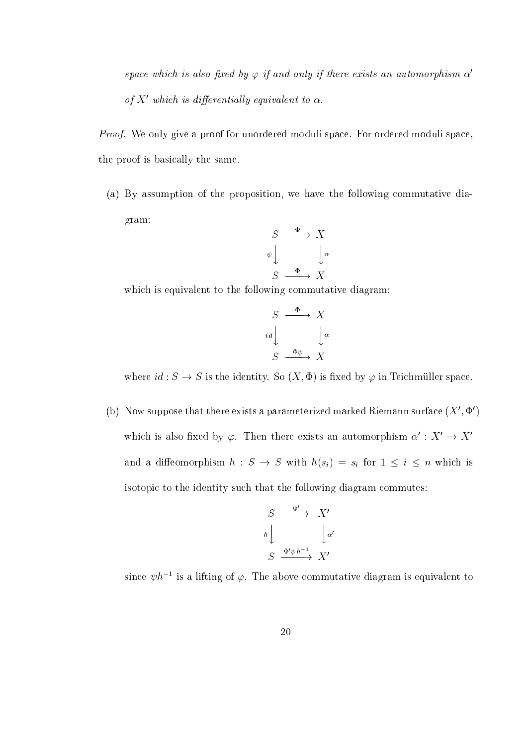space which is also fixed by  $\varphi$  if and only if there exists an automorphism  $\alpha'$ of  $\Lambda$  -which is differentially equivalent to  $\alpha$ .

Proof. We only give a proof for unordered moduli space. For ordered moduli space, the proof is basi
ally the same.

(a) By assumption of the proposition, we have the following ommutative diagram:

$$
S \xrightarrow{\Phi} X
$$
  
\n
$$
\psi \downarrow \qquad \qquad \downarrow \alpha
$$
  
\n
$$
S \xrightarrow{\Phi} X
$$

which is equivalent to the following commutative diagram:

$$
S \xrightarrow{\Phi} X
$$
  

$$
id \downarrow \qquad \qquad \downarrow \alpha
$$
  

$$
S \xrightarrow{\Phi \psi} X
$$

where  $id : S \to S$  is the identity. So  $(X, \Phi)$  is fixed by  $\varphi$  in Teichmüller space.

(b) Tyow suppose that there exists a parameterized marked Riemann surface ( $\Lambda$  ,  $\Psi$  ) which is also fixed by  $\varphi$ . Then there exists an automorphism  $\alpha^{\cdot}: X^{\cdot} \to X^{\cdot}$ and a different contract potential  $\alpha$  . So the size  $\alpha$  (si)  $\alpha$  for  $\alpha$   $\alpha$  in which has a size of  $\alpha$ isotopic to the identity such that the following diagram commutes:

$$
\begin{array}{ccc}\nS & \xrightarrow{\Phi'} & X' \\
h & & \downarrow \alpha' \\
S & \xrightarrow{\Phi'\psi h^{-1}} & X'\n\end{array}
$$

since  $\psi h^{-1}$  is a lifting of  $\varphi.$  The above commutative diagram is equivalent to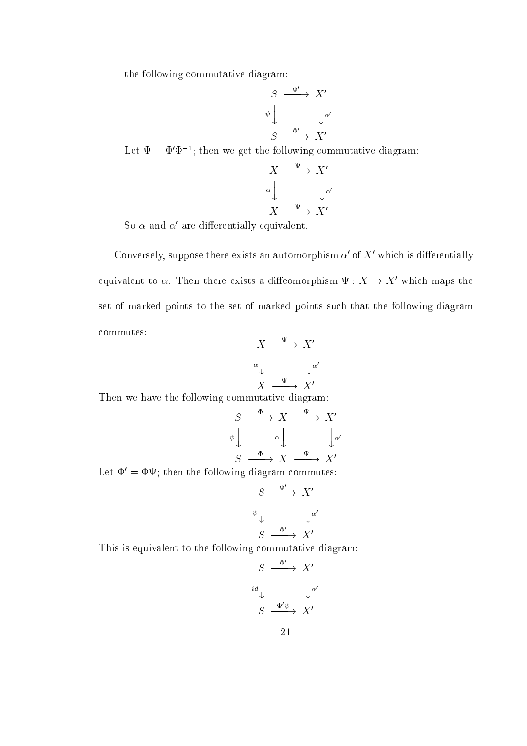the following ommutative diagram:

$$
S \xrightarrow{\Phi'} X'
$$
  
\n
$$
\psi \downarrow \qquad \qquad \downarrow \alpha'
$$
  
\n
$$
S \xrightarrow{\Phi'} X'
$$

Let  $\Psi = \Psi \Psi$  : then we get the following commutative diagram:

$$
X \xrightarrow{\Psi} X'
$$
  
\n
$$
\alpha \downarrow \qquad \qquad \downarrow \alpha'
$$
  
\n
$$
X \xrightarrow{\Psi} X'
$$

 $50 \alpha$  and  $\alpha$  are differentially equivalent.

Conversely, suppose there exists an automorphism  $\alpha$  for  $\Lambda$  -which is differentially equivalent to  $\alpha$ . Then there exists a diffeomorphism  $\Psi : A \rightarrow A$  which maps the set of marked points to the set of marked points su
h that the following diagram ommutes:

$$
X \xrightarrow{\Psi} X'
$$
  

$$
\alpha \downarrow \qquad \qquad \downarrow \alpha'
$$
  

$$
X \xrightarrow{\Psi} X'
$$

Then we have the following ommutative diagram:

$$
S \xrightarrow{\Phi} X \xrightarrow{\Psi} X'
$$
  
\n
$$
\psi \downarrow \qquad \alpha \downarrow \qquad \downarrow \alpha'
$$
  
\n
$$
S \xrightarrow{\Phi} X \xrightarrow{\Psi} X'
$$

Let  $\Phi' = \Phi \Psi$ ; then the following diagram commutes:

$$
S \xrightarrow{\Phi'} X'
$$
  
\n
$$
\psi \downarrow \qquad \qquad \downarrow \alpha'
$$
  
\n
$$
S \xrightarrow{\Phi'} X'
$$

This is equivalent to the following ommutative diagram:

$$
S \xrightarrow{\Phi'} X'
$$
  

$$
id \downarrow \qquad \qquad \downarrow \alpha'
$$
  

$$
S \xrightarrow{\Phi'\psi} X'
$$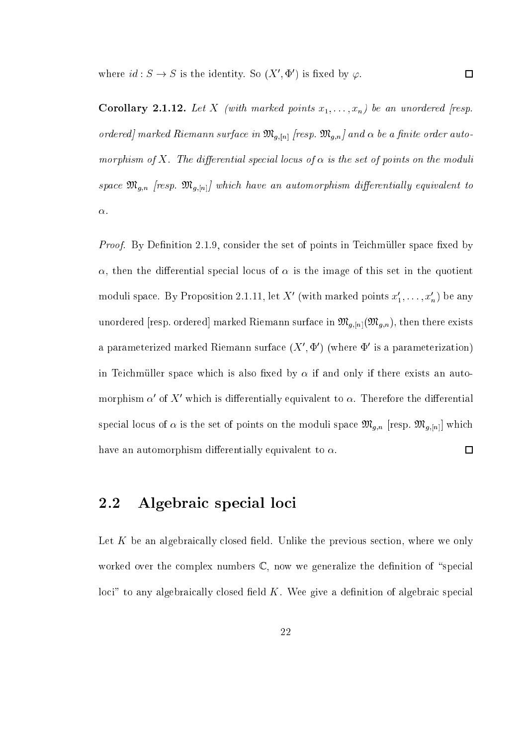where  $id: S \to S$  is the identity. So  $(X', \Psi')$  is fixed by  $\varphi$ .

Corollary 2.1.12. Let  $\alpha$  and  $\alpha$  (with marked points  $\alpha$  in the property  $\alpha$  and  $\alpha$  is supported for  $\alpha$ ordered] marked Riemann surface in  $\mathfrak{M}_{g,[n]}$  [resp.  $\mathfrak{M}_{g,n}$ ] and  $\alpha$  be a finite order automorphism of X. The differential special locus of  $\alpha$  is the set of points on the moduli spaar mg;n [resp. mg;[nt] - marinital ly equivalent to the contract of the contract of the contract of the con  $\alpha$ .

 $\Box$ 

*Proof.* By Definition 2.1.9, consider the set of points in Teichmüller space fixed by  $\alpha$ , then the differential special locus of  $\alpha$  is the image of this set in the quotient moduli space. By Proposition 2.1.11, let  $X$  (with marked points  $x_1, \ldots, x_n$ ) be any unordered [resp. ordered] marked Riemann surface in  $\mathfrak{M}_{g,[n]}(\mathfrak{M}_{g,n})$ , then there exists a parameterized marked Kiemann surface ( $\Lambda$  ,  $\Psi$  ) (where  $\Psi$  is a parameterization) in Teichmüller space which is also fixed by  $\alpha$  if and only if there exists an automorphism  $\alpha$  of  $\Lambda$  -which is differentially equivalent to  $\alpha$ . Therefore the differential spectrum to the set of the set of the moduli space of the moduli space which is the moduli space. The moduli s have an automorphism differentially equivalent to  $\alpha$ .  $\Box$ 

## 2.2 Algebraic special loci

Let  $K$  be an algebraically closed field. Unlike the previous section, where we only worked over the complex numbers  $\mathbb{C}$ , now we generalize the definition of "special"  $\chi$ loci" to any algebraically closed field K. Wee give a definition of algebraic special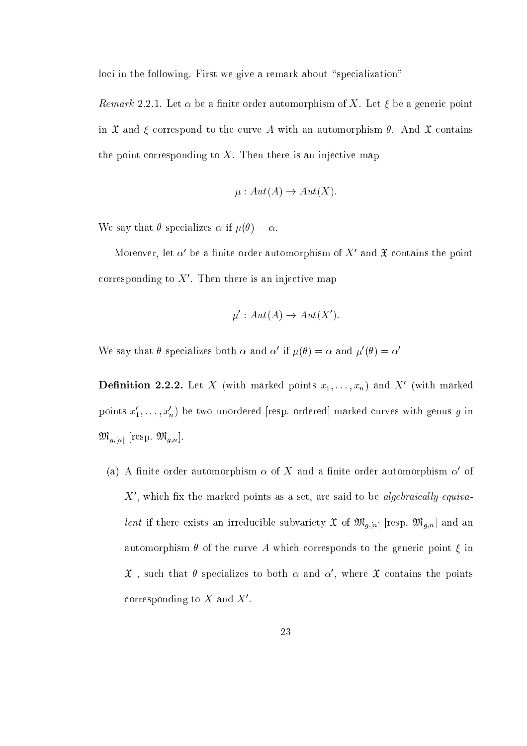loci in the following. First we give a remark about "specialization"

*Remark* 2.2.1. Let  $\alpha$  be a finite order automorphism of X. Let  $\xi$  be a generic point in  $\mathfrak X$  and  $\xi$  correspond to the curve A with an automorphism  $\theta$ . And  $\mathfrak X$  contains the point corresponding to  $X$ . Then there is an injective map

$$
\mu : Aut(A) \to Aut(X).
$$

We say that  $\theta$  specializes  $\alpha$  if  $\mu(\theta) = \alpha$ .

Moreover, let  $\alpha$  be a limite order automorphism of  $\Lambda$  and  $\mathfrak X$  contains the point corresponding to  $\Lambda$  . Then there is an injective map

$$
\mu': Aut(A) \to Aut(X').
$$

We say that  $\sigma$  specializes both  $\alpha$  and  $\alpha$  if  $\mu(\sigma) = \alpha$  and  $\mu(\sigma) = \alpha$ 

**Demition 2.2.2.** Let  $\Lambda$  (with marked points  $x_1, \ldots, x_n$ ) and  $\Lambda$  (with marked points  $x_1, \ldots, x_n$ ) be two unordered [resp. ordered] marked curves with genus g in  $\mathfrak{M}_{g,[n]}$  [resp.  $\mathfrak{M}_{g,n}$ ].

(a) A limite order automorphism  $\alpha$  of  $\Lambda$  and a limite order automorphism  $\alpha$  of  $\Lambda$  , which hx the marked points as a set, are said to be *algebraically equiva*lent if there exists an irreducible subvariety  $\mathfrak{X}$  of  $\mathfrak{M}_{g,[n]}$  [resp.  $\mathfrak{M}_{g,n}$ ] and an automorphism  $\theta$  of the curve A which corresponds to the generic point  $\xi$  in  $x$  , such that  $\sigma$  specializes to both  $\alpha$  and  $\alpha$  , where  $x$  contains the points corresponding to  $\Lambda$  and  $\Lambda$  .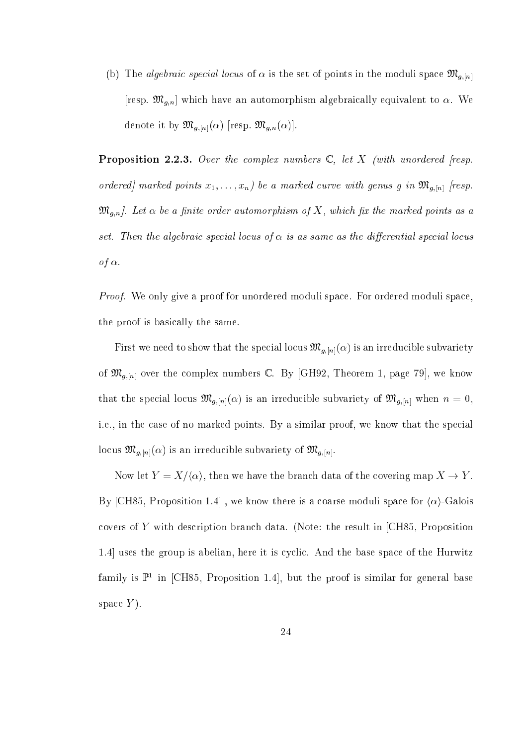(b) The *algebraic special locus* of  $\alpha$  is the set of points in the moduli space  $\mathfrak{M}_{g,[n]}$ [resp.  $\mathfrak{M}_{g,n}$ ] which have an automorphism algebraically equivalent to  $\alpha$ . We denote it by  $\mathfrak{M}_{g,[n]}(\alpha)$  [resp.  $\mathfrak{M}_{g,n}(\alpha)$ ].

**Proposition 2.2.3.** Over the complex numbers  $\mathbb{C}$ , let X (with unordered [resp. ordered marked points  $x_1, \ldots, x_n$ ) be a marked curve with genus g in  $\mathfrak{M}_{g,[n]}$  [resp.  $\mathfrak{M}_{g,n}$ . Let  $\alpha$  be a finite order automorphism of X, which fix the marked points as a set. Then the algebraic special locus of  $\alpha$  is as same as the differential special locus of  $\alpha$ .

Proof. We only give a proof for unordered moduli space. For ordered moduli space. the proof is basi
ally the same.

First we need to show that the special locus  $\mathfrak{M}_{g,[n]}(\alpha)$  is an irreducible subvariety of  $\mathfrak{M}_{g,[n]}$  over the complex numbers C. By [GH92, Theorem 1, page 79], we know that the special locus  $\mathfrak{M}_{g,[n]}(\alpha)$  is an irreducible subvariety of  $\mathfrak{M}_{g,[n]}$  when  $n=0$ , i.e., in the case of no marked points. By a similar proof, we know that the special locus  $\mathfrak{M}_{g,[n]}(\alpha)$  is an irreducible subvariety of  $\mathfrak{M}_{g,[n]}$ .

Now let  $Y = X/\langle \alpha \rangle$ , then we have the branch data of the covering map  $X \to Y$ . By [CH85, Proposition 1.4], we know there is a coarse moduli space for  $\langle \alpha \rangle$ -Galois covers of  $Y$  with description branch data. (Note: the result in [CH85, Proposition 1.4 uses the group is abelian, here it is cyclic. And the base space of the Hurwitz family is  $\mathbb{P}^1$  in  $\vert$ CH85, Proposition 1.4, but the proof is similar for general base space  $Y$ ).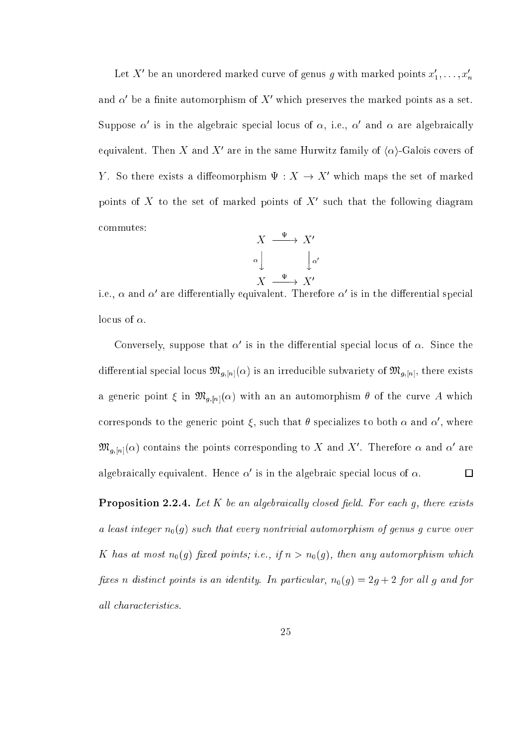Let  $\Lambda$  be an unordered marked curve of genus  $g$  with marked points  $x_1,\ldots,x_n$ and  $\alpha$  -be a finite automorphism of  $\Lambda$  -which preserves the marked points as a set. Suppose  $\alpha$  is in the algebraic special locus of  $\alpha$ , i.e.,  $\alpha$  and  $\alpha$  are algebraically equivalent. Then  $\Lambda$  and  $\Lambda$  are in the same Hurwitz family of  $\alpha$ )-Galois covers of  $Y$ . So there exists a diffeomorphism  $\Psi : A \to A$  which maps the set of marked points of  $\Lambda$  to the set of marked points of  $\Lambda$  such that the following diagram ommutes:

$$
X \xrightarrow{\Psi} X'
$$
  

$$
\alpha \downarrow \qquad \qquad \downarrow \alpha'
$$
  

$$
X \xrightarrow{\Psi} X'
$$

i.e.,  $\alpha$  and  $\alpha$  are diherentially equivalent. Therefore  $\alpha$  is in the differential special locus of  $\alpha$ .

Conversely, suppose that  $\alpha$  is in the differential special locus of  $\alpha$ . Since the differential special locus  $\mathfrak{M}_{g,[n]}(\alpha)$  is an irreducible subvariety of  $\mathfrak{M}_{g,[n]}$ , there exists a generic point  $\xi$  in  $\mathfrak{M}_{g,[n]}(\alpha)$  with an an automorphism  $\theta$  of the curve A which corresponds to the generic point  $\xi$ , such that  $\theta$  specializes to both  $\alpha$  and  $\alpha$  , where  $\mathfrak{M}_{a,[n]}(\alpha)$  contains the points corresponding to  $A$  and  $A$  . Therefore  $\alpha$  and  $\alpha$  are  $\Box$ algebraically equivalent. Hence  $\alpha$  is in the algebraic special locus of  $\alpha.$ 

Proposition 2.2.4. Let K be an algebrai
al ly losed eld. For ea
h g, there exists a least integer  $n_0(g)$  such that every nontrivial automorphism of genus g curve over K has at most  $n_0(g)$  fixed points; i.e., if  $n > n_0(g)$ , then any automorphism which fixes n distinct points is an identity. In particular,  $n_0(g) = 2g + 2$  for all g and for all characteristics.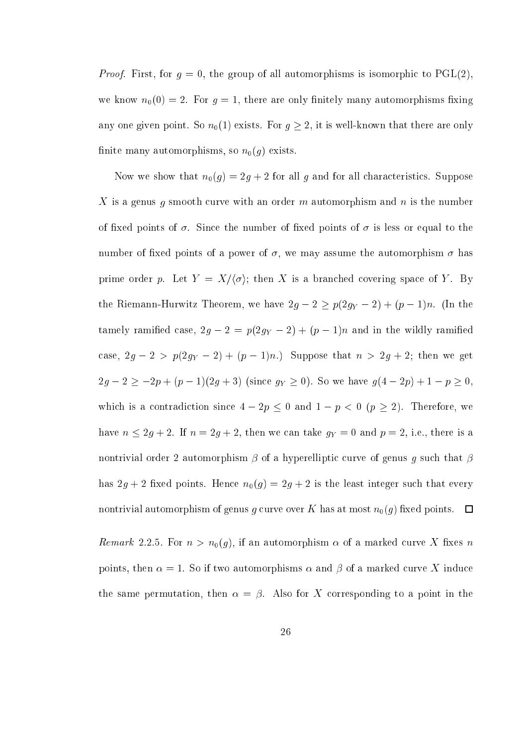*Proof.* First, for  $g = 0$ , the group of all automorphisms is isomorphic to  $PGL(2)$ , we know  $n_0(0) = 2$ . For  $g = 1$ , there are only finitely many automorphisms fixing any one given point. So  $n_0(1)$  exists. For  $g \geq 2$ , it is well-known that there are only finite many automorphisms, so  $n_0(q)$  exists.

Now we show that  $n_0(g) = 2g + 2$  for all g and for all characteristics. Suppose X is a genus g smooth curve with an order m automorphism and n is the number of fixed points of  $\sigma$ . Since the number of fixed points of  $\sigma$  is less or equal to the number of fixed points of a power of  $\sigma$ , we may assume the automorphism  $\sigma$  has prime order p. Let  $Y = X/\langle \sigma \rangle$ ; then X is a branched covering space of Y. By the Riemann-Hurmitz Theorem, we have 2g  $\sim$  2  $p$ (2g)  $\sim$  2  $p$  + (p  $\sim$  2)n. (In the  $\sim$ tamely ramification as a positive  $\mathcal{C}$  and in the wildly ramification  $\mathcal{C}$ ase, 2g 2 > p(2gY 2) <sup>+</sup> (p 1)n.) Suppose that <sup>n</sup> <sup>&</sup>gt; 2g <sup>+</sup> 2; then we get  $\mathbb{P} \mathcal{J}$  ,  $\mathbb{P} \mathcal{J}$  ,  $\mathbb{P} \mathcal{J}$  ,  $\mathcal{J}$  ,  $\mathcal{J}$  ,  $\mathcal{J}$  ,  $\mathcal{J}$  ,  $\mathcal{J}$  ,  $\mathcal{J}$  ,  $\mathcal{J}$  ,  $\mathcal{J}$  ,  $\mathcal{J}$  ,  $\mathcal{J}$  ,  $\mathcal{J}$  ,  $\mathcal{J}$  ,  $\mathcal{J}$  ,  $\mathcal{J}$  ,  $\mathcal{J}$  ,  $\mathcal{$ which is a contradiction since  $4 - 2p \le 0$  and  $1 - p < 0$   $(p \ge 2)$ . Therefore, we have no 2g + 2. If n = 2g + 2, i.e. in the case we gy + 2, i.e., then we are 2, i.e., then we are it nontrivial order 2 automorphism  $\beta$  of a hyperelliptic curve of genus g such that  $\beta$ has  $2g + 2$  fixed points. Hence  $n_0(g) = 2g + 2$  is the least integer such that every nontrivial automorphism of genus g curve over K has at most  $n_0(g)$  fixed points.  $\Box$ 

Remark 2.2.5. For  $n > n_0(g)$ , if an automorphism  $\alpha$  of a marked curve X fixes n points, then  $\alpha = 1$ . So if two automorphisms  $\alpha$  and  $\beta$  of a marked curve X induce the same permutation, then  $\alpha = \beta$ . Also for X corresponding to a point in the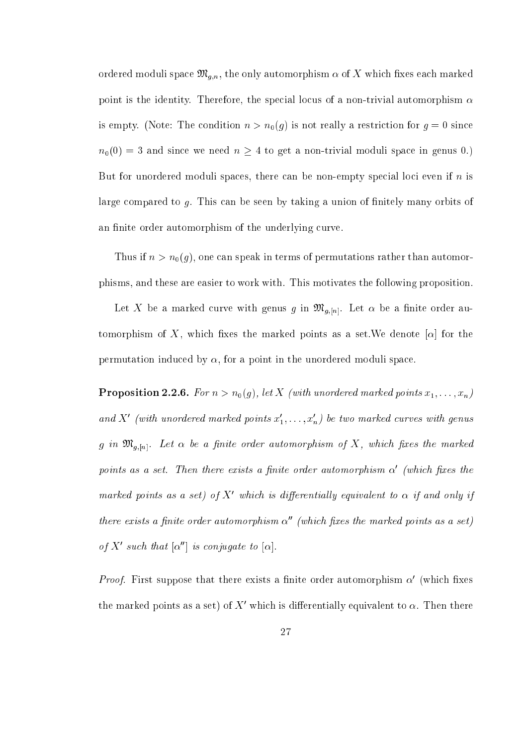ordered moduli space  $\mathfrak{M}_{g,n}$ , the only automorphism  $\alpha$  of X which fixes each marked point is the identity. Therefore, the special locus of a non-trivial automorphism  $\alpha$ is empty. (Note: The condition  $n > n_0(g)$  is not really a restriction for  $g = 0$  since  $n_0(0) = 3$  and since we need  $n \geq 4$  to get a non-trivial moduli space in genus 0.) But for unordered moduli spaces, there can be non-empty special loci even if  $n$  is large compared to g. This can be seen by taking a union of finitely many orbits of an finite order automorphism of the underlying curve.

Thus if  $n > n_0(g)$ , one can speak in terms of permutations rather than automorphisms, and these are easier to work with. This motivates the following proposition.

Let X be a marked curve with genus g in  $\mathfrak{M}_{g,[n]}$ . Let  $\alpha$  be a finite order automorphism of X, which fixes the marked points as a set. We denote  $[\alpha]$  for the permutation induced by  $\alpha$ , for a point in the unordered moduli space.

 $P$   $\sim$   $P$   $\sim$   $P$   $\sim$   $P$   $\sim$   $P$   $\sim$   $P$  (  $\sim$   $P$  (  $Q$  ),  $Q$  ),  $P$   $\sim$   $P$   $\sim$   $P$   $\sim$   $P$   $\sim$   $P$   $\sim$   $P$   $\sim$   $P$   $\sim$   $P$   $\sim$   $P$   $\sim$   $P$   $\sim$   $P$   $\sim$   $P$   $\sim$   $P$   $\sim$   $P$   $\sim$   $P$   $\sim$   $P$   $\sim$  ana  $\Lambda$  (with unordered marked points  $x_1, \ldots, x_n$ ) be two marked curves with genus  $g$  in  $\mathfrak{M}_{g,[n]}$ . Let  $\alpha$  be a finite order automorphism of X, which fixes the marked points as a set. Then there exists a jinite order automorphism  $\alpha$  (which jixes the marked points as a set) of  $\Lambda$  which is affferentially equivalent to  $\alpha$  if and only if there exists a finite order automorphism  $\alpha''$  (which fixes the marked points as a set) of  $\Lambda$  -such that  $\alpha$  is confugate to  $\alpha$ .

*Proof.* First suppose that there exists a linite order automorphism  $\alpha$  (which lixes the marked points as a set) of  $\Lambda$  –which is differentially equivalent to  $\alpha$ . Then there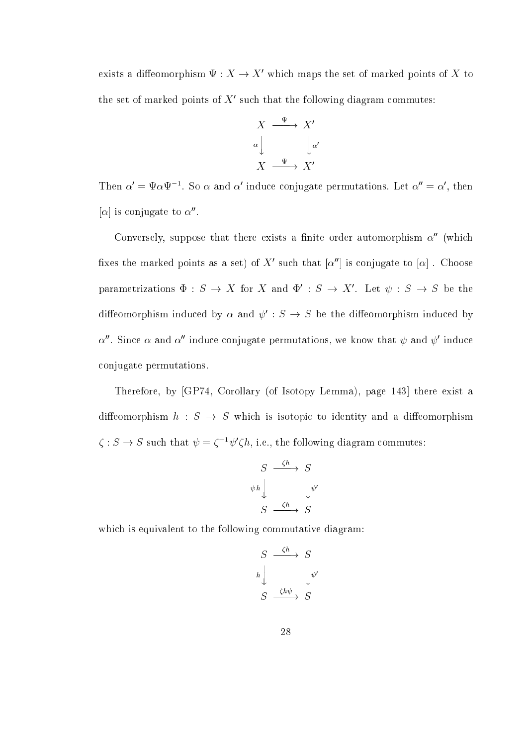exists a diffeomorphism  $\Psi : A \to A$  which maps the set of marked points of  $A$  to the set of marked points of  $\Lambda$  -such that the following diagram commutes:

$$
X \xrightarrow{\Psi} X'
$$
  

$$
\alpha \downarrow \qquad \qquad \downarrow \alpha'
$$
  

$$
X \xrightarrow{\Psi} X'
$$

Then  $\alpha = \Psi \alpha \Psi$  . So  $\alpha$  and  $\alpha$  induce conjugate permutations. Let  $\alpha = \alpha$ , then  $|\alpha|$  is conjugate to  $\alpha$  .

Conversely, suppose that there exists a finite order automorphism  $\alpha''$  (which hxes the marked points as a set) of  $\Lambda$  -such that  $|\alpha|$  is conjugate to  $|\alpha|$  . Unoose parametrizations  $\Psi : S \to A$  for A and  $\Psi : S \to A$  . Let  $\psi : S \to S$  be the diffeomorphism induced by  $\alpha$  and  $\psi$  :  $S \to S$  be the diffeomorphism induced by  $\alpha$  . Since  $\alpha$  and  $\alpha$  -induce conjugate permutations, we know that  $\psi$  and  $\psi$  -induce onjugate permutations.

Therefore, by [GP74, Corollary (of Isotopy Lemma), page 143] there exist a diffeomorphism  $h : S \rightarrow S$  which is isotopic to identity and a diffeomorphism  $\zeta : S \to S$  such that  $\psi = \zeta^{-1} \psi \zeta n$ , i.e., the following diagram commutes:

$$
S \xrightarrow{\zeta h} S
$$
  
\n
$$
\psi h \downarrow \qquad \qquad \downarrow \psi'
$$
  
\n
$$
S \xrightarrow{\zeta h} S
$$

which is equivalent to the following commutative diagram:

$$
S \xrightarrow{\zeta h} S
$$
  
\n
$$
h \downarrow \qquad \qquad \downarrow \psi'
$$
  
\n
$$
S \xrightarrow{\zeta h \psi} S
$$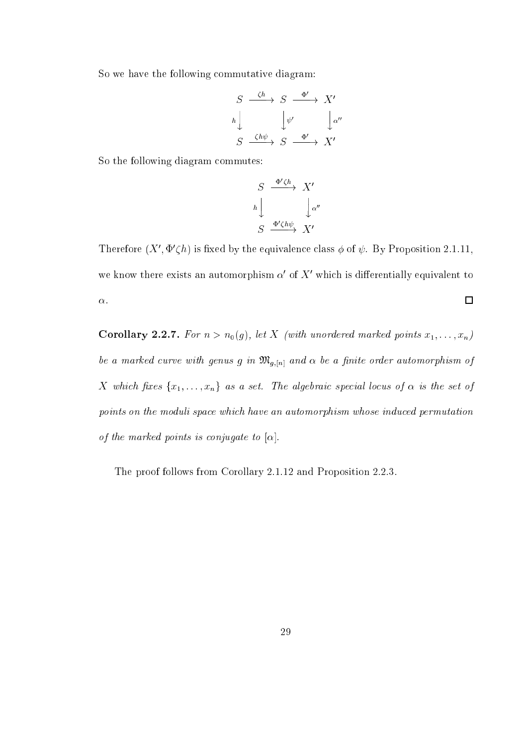So we have the following commutative diagram:

$$
S \xrightarrow{\zeta h} S \xrightarrow{\Phi'} X'
$$
  
\n
$$
h \downarrow \qquad \qquad \downarrow \psi' \qquad \qquad \downarrow \alpha''
$$
  
\n
$$
S \xrightarrow{\zeta h \psi} S \xrightarrow{\Phi'} X'
$$

So the following diagram ommutes:

$$
S \xrightarrow{\Phi' \zeta h} X'
$$
  
\n
$$
h \downarrow \qquad \qquad \downarrow \alpha''
$$
  
\n
$$
S \xrightarrow{\Phi' \zeta h \psi} X'
$$

Therefore  $(X, \Psi \zeta u)$  is fixed by the equivalence class  $\varphi$  of  $\psi$ . By Proposition 2.1.11, we know there exists an automorphism  $\alpha$  of  $\Lambda$  which is differentially equivalent to  $\Box$  $\alpha$ .

Corollary 2.2.7. For n or n of the state marked marked marked marked points in the state  $\mu$  ,  $\mu$ be a marked curve with genus g in  $\mathfrak{M}_{g,[n]}$  and  $\alpha$  be a finite order automorphism of X which fixes  $\{x_1, \ldots, x_n\}$  as a set. The algebraic special locus of  $\alpha$  is the set of points on the moduli space which have an automorphism whose induced permutation of the marked points is conjugate to  $[\alpha]$ .

The proof follows from Corollary 2.1.12 and Proposition 2.2.3.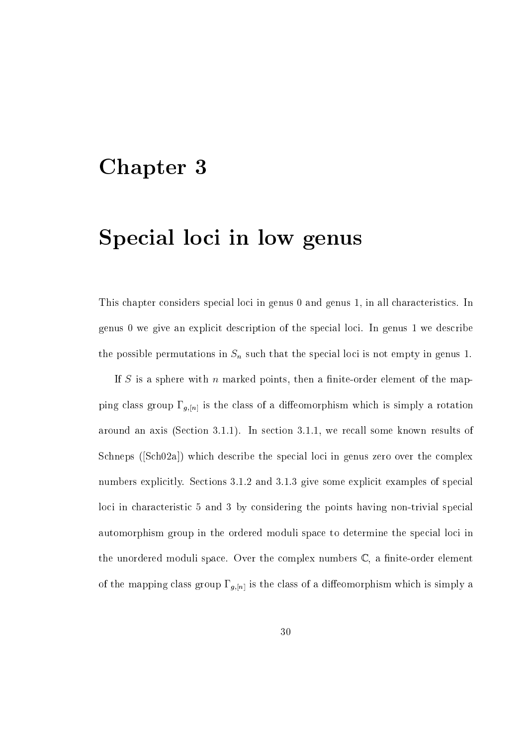## Chapter 3

## Special loci in low genus

This chapter considers special loci in genus 0 and genus 1, in all characteristics. In genus 0 we give an expli
it des
ription of the spe
ial lo
i. In genus 1 we des
ribe the possible permutations in Sn su
h that the spe
ial lo
i is not empty in genus 1.

If S is a sphere with  $n$  marked points, then a finite-order element of the mapping class group  $\Gamma_{g,[n]}$  is the class of a diffeomorphism which is simply a rotation around an axis (Section 3.1.1). In section 3.1.1, we recall some known results of Schneps (Sch02a) which describe the special loci in genus zero over the complex numbers explicitly. Sections 3.1.2 and 3.1.3 give some explicit examples of special loci in characteristic 5 and 3 by considering the points having non-trivial special automorphism group in the ordered moduli space to determine the special loci in the unordered moduli space. Over the complex numbers  $\mathbb{C}$ , a finite-order element of the mapping class group  $\Gamma_{g,[n]}$  is the class of a diffeomorphism which is simply a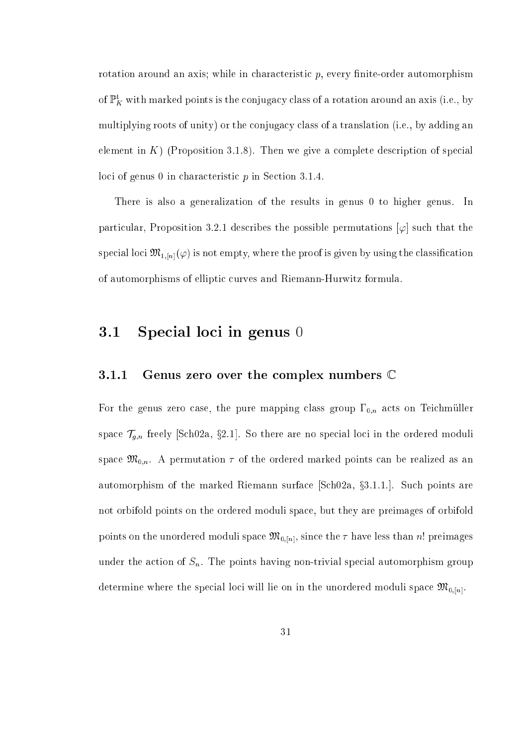rotation around an axis; while in characteristic  $p$ , every finite-order automorphism of  $\mathbb{P}^1_K$  with marked points is the conjugacy class of a rotation around an axis (i.e., by multiplying roots of unity) or the conjugacy class of a translation (i.e., by adding an element in K (Proposition 3.1.8). Then we give a complete description of special loci of genus 0 in characteristic  $p$  in Section 3.1.4.

There is also a generalization of the results in genus 0 to higher genus. In particular, Proposition 3.2.1 describes the possible permutations  $[\varphi]$  such that the special loci  $\mathfrak{M}_{1,[n]}(\varphi)$  is not empty, where the proof is given by using the classification of automorphisms of elliptic curves and Riemann-Hurwitz formula.

## 3.1 Special loci in genus 0

#### 3.1.1Genus zero over the complex numbers  $\mathbb C$

For the genus zero case, the pure mapping class group  $\Gamma_{0,n}$  acts on Teichmüller space that is a specific the ordered moduli in the ordered moduli in the ordered moduli in the ordered moduli in the ordered moduli in the ordered moduli in the order order order order order order order order order order o space  $\mathfrak{M}_{0,n}$ . A permutation  $\tau$  of the ordered marked points can be realized as an automorphism of the marked Riemann surface  $\lceil \text{Sch} 02a, \S 3.1.1 \rceil$ . Such points are not orbifold points on the ordered moduli spa
e, but they are preimages of orbifold points on the unordered moduli space  $\mathfrak{M}_{0,[n]}$ , since the  $\tau$  have less than n! preimages under the action of  $S_n$ . The points having non-trivial special automorphism group determine where the special loci will lie on in the unordered moduli space  $\mathfrak{M}_{0,[n]}$ .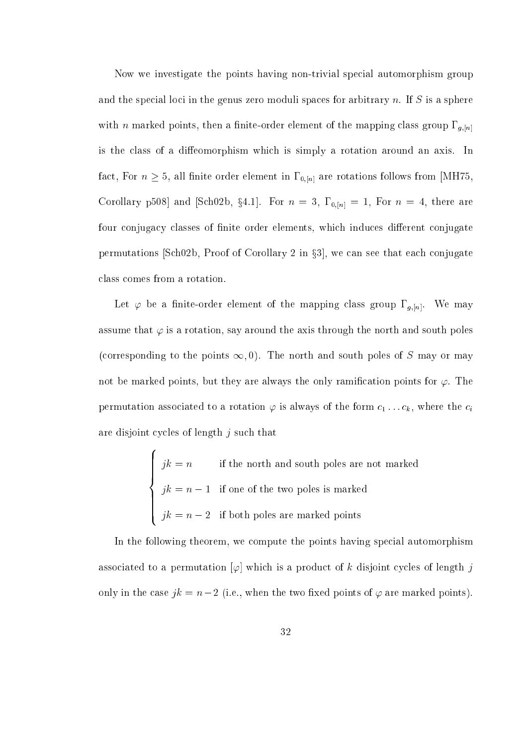Now we investigate the points having non-trivial special automorphism group and the special loci in the genus zero moduli spaces for arbitrary n. If S is a sphere with *n* marked points, then a finite-order element of the mapping class group  $\Gamma_{g,[n]}$ is the class of a diffeomorphism which is simply a rotation around an axis. In fact, For  $n \geq 5$ , all finite order element in  $\Gamma_{0,[n]}$  are rotations follows from [MH75, Corollary p508] and [Sch02b, §4.1]. For  $n = 3$ ,  $\Gamma_{0,[n]} = 1$ , For  $n = 4$ , there are four conjugacy classes of finite order elements, which induces different conjugate permutations [Sch02b, Proof of Corollary 2 in  $\S3$ ], we can see that each conjugate lass omes from a rotation.

Let  $\varphi$  be a finite-order element of the mapping class group  $\Gamma_{g,[n]}$ . We may assume that  $\varphi$  is a rotation, say around the axis through the north and south poles (corresponding to the points  $\infty, 0$ ). The north and south poles of S may or may not be marked points, but they are always the only ramification points for  $\varphi$ . The permutation associated to a rotation  $\varphi$  is always of the form  $c_1 \ldots c_k$ , where the  $c_i$ are disjoint cycles of length  $j$  such that

$$
jk = n
$$
 if the north and south poles are not marked  

$$
jk = n - 1
$$
 if one of the two poles is marked  

$$
jk = n - 2
$$
 if both poles are marked points

<sup>8</sup>

In the following theorem, we compute the points having special automorphism associated to a permutation  $[\varphi]$  which is a product of k disjoint cycles of length j only in the case  $jk = n - 2$  (i.e., when the two fixed points of  $\varphi$  are marked points).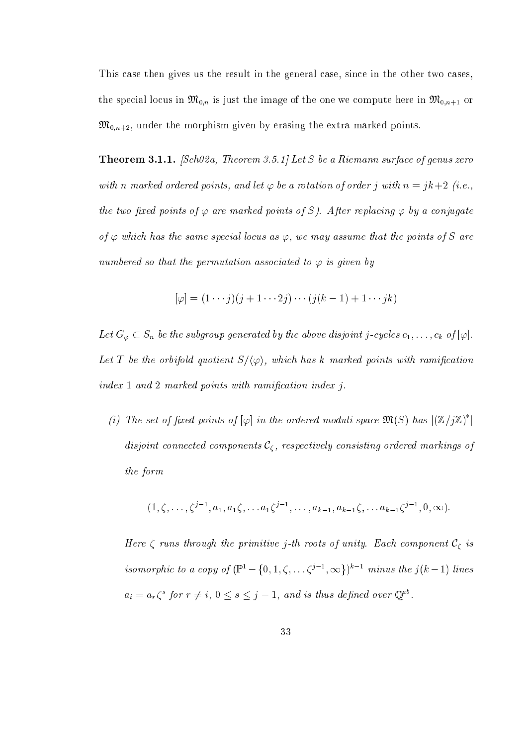This case then gives us the result in the general case, since in the other two cases. the special locus in  $\mathfrak{M}_{0,n}$  is just the image of the one we compute here in  $\mathfrak{M}_{0,n+1}$  or  $\mathfrak{M}_{0,n+2}$ , under the morphism given by erasing the extra marked points.

. The second state in the state of the state of the state of genus and the state of genus and the state of the with n marked ordered points, and let  $\varphi$  be a rotation of order j with  $n = jk+2$  (i.e., the two fixed points of  $\varphi$  are marked points of S). After replacing  $\varphi$  by a conjugate of  $\varphi$  which has the same special locus as  $\varphi$ , we may assume that the points of S are numbered so that the permutation associated to  $\varphi$  is given by

$$
[\varphi] = (1 \cdots j)(j+1 \cdots 2j) \cdots (j(k-1)+1 \cdots jk)
$$

Let  $G_{\varphi} \subset S_n$  be the subgroup generated by the above disjoint j-cycles  $c_1, \ldots, c_k$  of  $[\varphi]$ . Let T be the orbifold quotient  $S/\langle \varphi \rangle$ , which has k marked points with ramification  $index 1 and 2 marked points with ramification index j.$ 

(i) The set of fixed points of  $[\varphi]$  in the ordered moduli space  $\mathfrak{M}(S)$  has  $|(\mathbb{Z}/j\mathbb{Z})^*|$ omponents components components of the position of the components of the components of the components of the c the form

$$
(1, \zeta, \ldots, \zeta^{j-1}, a_1, a_1 \zeta, \ldots, a_1 \zeta^{j-1}, \ldots, a_{k-1}, a_{k-1} \zeta, \ldots, a_{k-1} \zeta^{j-1}, 0, \infty).
$$

Here runs through the primitive j-th roots of unity. Ea
h omponent C is isomorphic to a copy of  $(\mathbb{P}^1 - \{0, 1, \zeta, \ldots \zeta^{j-1}, \infty\})^{k-1}$  minus the  $i(k-1)$  lines  $a_i = a_r \zeta^s$  for  $r \neq i, 0 \leq s \leq j-1$ , and is thus defined over  $\mathbb{Q}^{ab}$ .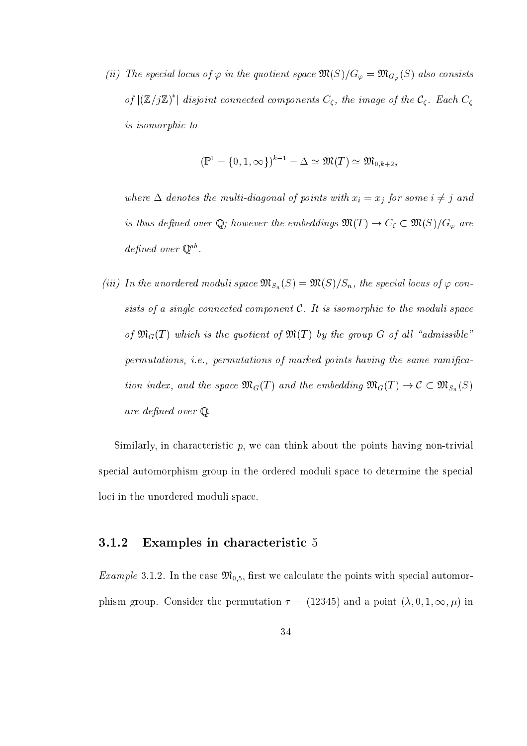(ii) The special locus of  $\varphi$  in the quotient space  $\mathfrak{M}(S)/G_{\varphi} = \mathfrak{M}_{G_{\varphi}}(S)$  also consists of  $|(\mathbb{Z}/j\mathbb{Z})^{\hat{}}|$  disjoint connected components  $C_{\zeta}$ , the image of the  $C_{\zeta}$ . Each  $C_{\zeta}$ is isomorphi to

$$
(\mathbb{P}^1 - \{0, 1, \infty\})^{k-1} - \Delta \simeq \mathfrak{M}(T) \simeq \mathfrak{M}_{0,k+2},
$$

where  $\equiv$  denotes the multi-diagonal of points with  $\frac{1}{2}$   $\rightarrow$   $\frac{1}{2}$   $\rightarrow$   $\frac{1}{2}$  and  $\frac{1}{2}$ is thus defined over Q; however the embeddings  $\mathfrak{M}(T)\to C_\zeta\subset \mathfrak{M}(S)/G_\varphi$  are defined over  $\mathbb{Q}^{ab}$ .

(iii) In the unordered moduli space  $\mathfrak{M}(S) = \mathfrak{M}(S)/S_n$ , the special locus of  $\varphi$  consists of a single connected component  $C$ . It is isomorphic to the moduli space of  $\mathfrak{M}_G(T)$  which is the quotient of  $\mathfrak{M}(T)$  by the group G of all "admissible" permutations, *i.e.*, permutations of marked points having the same ramification index, and the space  $\mathcal{M}_{\mathbf{C}}(\mathbf{C})$  and the embedding mg ( $\mathbf{C}$ )  $\mathbf{C}$  and  $\mathbf{C}$ are defined over  $\mathbb Q$ .

Similarly, in characteristic  $p$ , we can think about the points having non-trivial special automorphism group in the ordered moduli space to determine the special loci in the unordered moduli space.

#### 3.1.2Examples in characteristic 5

*Example* 3.1.2. In the case  $\mathfrak{M}_{0.5}$ , first we calculate the points with special automorphism group. Consider the permutation  $\tau = (12345)$  and a point  $(\lambda, 0, 1, \infty, \mu)$  in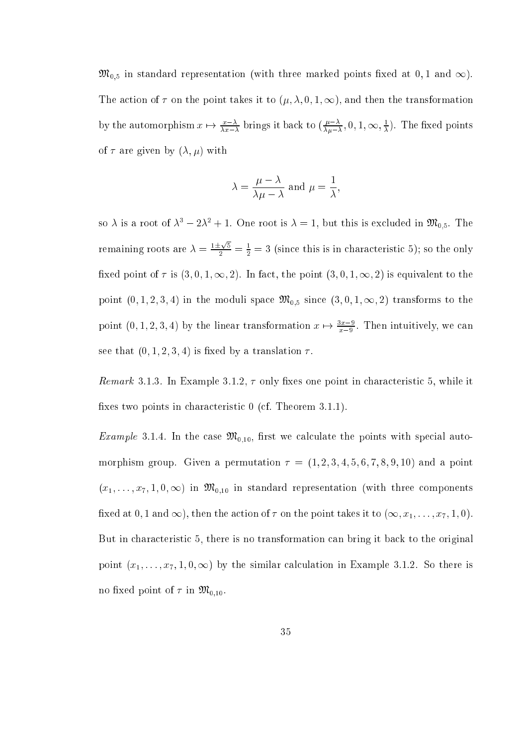$\mathfrak{M}_{0,5}$  in standard representation (with three marked points fixed at 0,1 and  $\infty$ ). The action of  $\tau$  on the point takes it to  $(\mu, \lambda, 0, 1, \infty)$ , and then the transformation by the automorphism  $x \mapsto \frac{x}{\lambda x - \lambda}$  brings it back to  $\left(\frac{x}{\lambda u - \lambda}\right)$  $\overline{\lambda \mu - \lambda}$ , U, I,  $\infty$ ,  $\overline{\lambda}$  $\lambda$ <sup>)</sup>. The mass points  $\mathbf{r}$ of  $\tau$  are given by  $(\lambda, \mu)$  with

$$
\lambda = \frac{\mu - \lambda}{\lambda \mu - \lambda}
$$
 and  $\mu = \frac{1}{\lambda}$ ,

so  $\lambda$  is a root of  $\lambda^3 - 2\lambda^2 + 1$ . One root is  $\lambda = 1$ , but this is excluded in  $\mathfrak{M}_{0,5}$ . The remaining roots are  $\lambda = \frac{1 \pm \sqrt{5}}{2} = \frac{1}{2} = 3$  (since this is in characteristic 5); so the only fixed point of  $\tau$  is  $(3,0,1,\infty,2)$ . In fact, the point  $(3,0,1,\infty,2)$  is equivalent to the point  $(0, 1, 2, 3, 4)$  in the moduli space  $\mathfrak{M}_{0,5}$  since  $(3, 0, 1, \infty, 2)$  transforms to the point  $(0, 1, 2, 3, 4)$  by the linear transformation  $x \mapsto \frac{x}{x-9}$ . Then intuitively, we can see that  $(0, 1, 2, 3, 4)$  is fixed by a translation  $\tau$ .

Remark 3.1.3. In Example 3.1.2,  $\tau$  only fixes one point in characteristic 5, while it fixes two points in characteristic  $0$  (cf. Theorem 3.1.1).

*Example* 3.1.4. In the case  $\mathfrak{M}_{0,10}$ , first we calculate the points with special automorphism group. Given a permutation  $\tau = (1, 2, 3, 4, 5, 6, 7, 8, 9, 10)$  and a point  $(x_1, \ldots, x_7, 1, 0, \infty)$  in  $\mathfrak{M}_{0,10}$  in standard representation (with three components fixed at 0, 1 and  $\infty$ ), then the action of  $\tau$  on the point takes it to  $(\infty, x_1, \ldots, x_7, 1, 0)$ . But in characteristic 5, there is no transformation can bring it back to the original point  $(x_1, \ldots, x_7, 1, 0, \infty)$  by the similar calculation in Example 3.1.2. So there is no fixed point of  $\tau$  in  $\mathfrak{M}_{0,10}$ .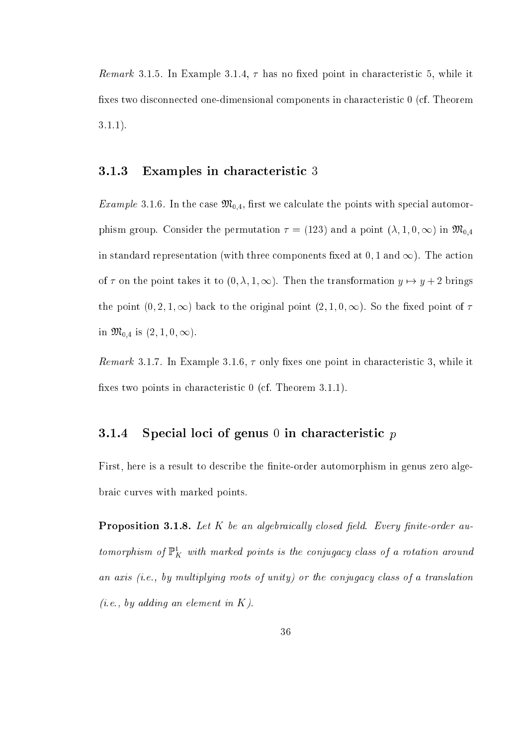*Remark* 3.1.5. In Example 3.1.4,  $\tau$  has no fixed point in characteristic 5, while it fixes two disconnected one-dimensional components in characteristic 0 (cf. Theorem 3.1.1).

#### 3.1.3Examples in characteristic 3

*Example* 3.1.6. In the case  $\mathfrak{M}_{0,4}$ , first we calculate the points with special automorphism group. Consider the permutation  $\tau = (123)$  and a point  $(\lambda, 1, 0, \infty)$  in  $\mathfrak{M}_{0,4}$ in standard representation (with three components fixed at  $0, 1$  and  $\infty$ ). The action of  $\tau$  on the point takes it to  $(0, \lambda, 1, \infty)$ . Then the transformation  $y \mapsto y + 2$  brings the point  $(0, 2, 1, \infty)$  back to the original point  $(2, 1, 0, \infty)$ . So the fixed point of  $\tau$ in  $\mathfrak{M}_{0,4}$  is  $(2,1,0,\infty)$ .

*Remark* 3.1.7. In Example 3.1.6,  $\tau$  only fixes one point in characteristic 3, while it fixes two points in characteristic  $0$  (cf. Theorem 3.1.1).

#### 3.1.4Special loci of genus  $0$  in characteristic  $p$

First, here is a result to describe the finite-order automorphism in genus zero algebraic curves with marked points.

Proposition 3.1.8. Let K be an algebrai
al ly losed eld. Every nite-order automorphism of  $\mathbb{P}^1_K$  with marked points is the conjugacy class of a rotation around an  $axis$  (i.e., by multiplying roots of unity) or the conjugacy class of a translation  $(i.e., by adding an element in K).$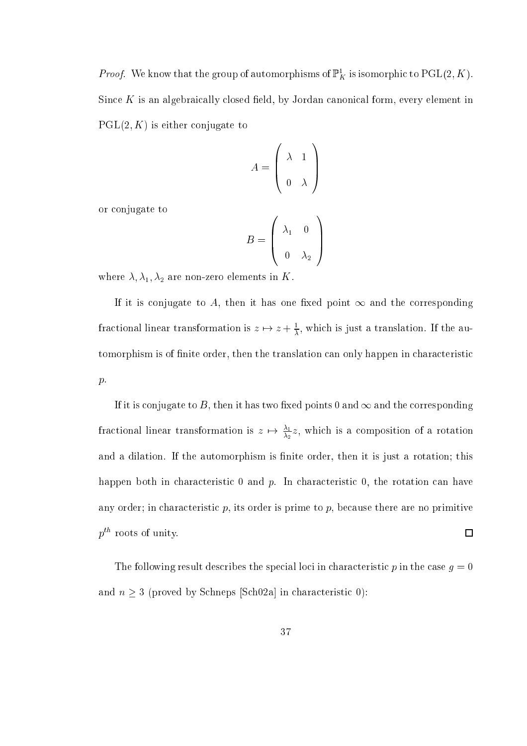*Proof.* We know that the group of automorphisms of  $\mathbb{P}^1_K$  is isomorphic to  $\mathrm{PGL}(2,K)$ . Since  $K$  is an algebraically closed field, by Jordan canonical form, every element in  $PGL(2, K)$  is either conjugate to

$$
A = \left(\begin{array}{cc} \lambda & 1\\ 0 & \lambda \end{array}\right)
$$

or onjugate to

$$
B = \left(\begin{array}{cc} \lambda_1 & 0 \\ 0 & \lambda_2 \end{array}\right)
$$

where  $\lambda$ ,  $\lambda_1$ ,  $\lambda_2$  are non-zero elements in K.

If it is conjugate to A, then it has one fixed point  $\infty$  and the corresponding fractional linear transformation is  $z\mapsto z+\frac{1}{\lambda},$  which is just a translation. If the automorphism is of finite order, then the translation can only happen in characteristic p.

If it is conjugate to B, then it has two fixed points 0 and  $\infty$  and the corresponding fractional linear transformation is  $z\,\mapsto\, \frac{\lambda_2}{\lambda_2}z,$  which is a composition of a rotation and a dilation. If the automorphism is finite order, then it is just a rotation; this happen both in characteristic  $0$  and  $p$ . In characteristic  $0$ , the rotation can have any order; in characteristic  $p$ , its order is prime to  $p$ , because there are no primitive  $p^{th}$  roots of unity.  $\square$ 

The following result describes the special loci in characteristic p in the case  $g = 0$ and  $n \geq 3$  (proved by Schneps [Sch02a] in characteristic 0):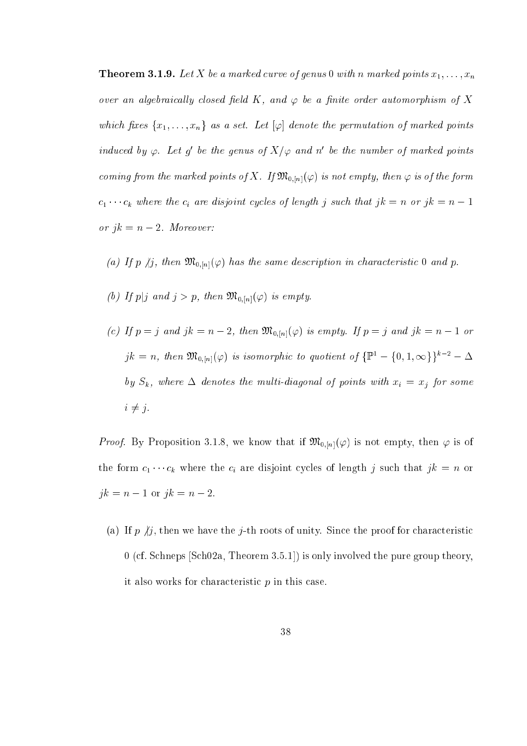The set of the state of a marked points  $\alpha$  ,  $\alpha$  ,  $\alpha$  ,  $\alpha$  ,  $\alpha$  ,  $\alpha$  ,  $\alpha$  ,  $\alpha$  ,  $\alpha$  ,  $\alpha$  ,  $\alpha$ over an algebraically closed field K, and  $\varphi$  be a finite order automorphism of X which fixes  $\{x_1, \ldots, x_n\}$  as a set. Let  $[\varphi]$  denote the permutation of marked points induced by  $\varphi$ . Let  $g$  be the genus of  $X/\varphi$  and n' be the number of marked points coming from the marked points of X. If  $\mathfrak{M}_{0,[n]}(\varphi)$  is not empty, then  $\varphi$  is of the form  $c_1 \cdots c_k$  where the  $c_i$  are disjoint cycles of length j such that  $jk = n$  or  $jk = n - 1$ or  $jk = n - 2$ . Moreover:

- (a) If p  $\langle j, \rho \rangle$  then  $\mathfrak{M}_{0,[n]}(\varphi)$  has the same description in characteristic 0 and p.
- (b) If  $p|j$  and  $j > p$ , then  $\mathfrak{M}_{0,[n]}(\varphi)$  is empty.
- (c) If  $p = j$  and  $jk = n 2$ , then  $\mathfrak{M}_{0,[n]}(\varphi)$  is empty. If  $p = j$  and  $jk = n 1$  or  $jk = n$ , then  $\mathfrak{M}_{0,[n]}(\varphi)$  is isomorphic to quotient of  $\{\mathbb{P}^1 - \{0,1,\infty\}\}^{k-2} - \Delta$ by Sk, where  $d$  and  $d$  for points with  $d$  for points with  $d$  for some  $d$  for some  $d$  $i \neq j$ .

*Proof.* By Proposition 3.1.8, we know that if  $\mathfrak{M}_{0,[n]}(\varphi)$  is not empty, then  $\varphi$  is of the form  $c_1 \cdots c_k$  where the  $c_i$  are disjoint cycles of length j such that  $jk = n$  or  $jk = n - 1$  or  $jk = n - 2$ .

(a) If  $p \nmid j$ , then we have the j-th roots of unity. Since the proof for characteristic  $0$  (cf. Schneps [Sch02a, Theorem 3.5.1]) is only involved the pure group theory, it also works for characteristic  $p$  in this case.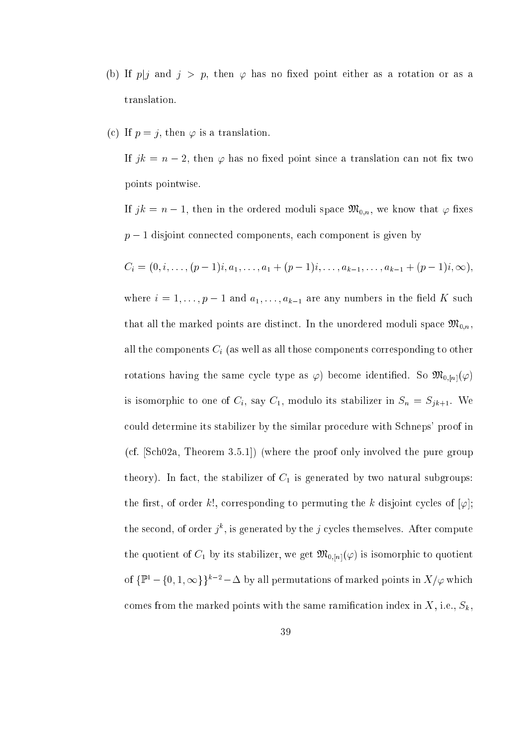- (b) If  $p|j$  and  $j > p$ , then  $\varphi$  has no fixed point either as a rotation or as a translation.
- (c) If  $p = j$ , then  $\varphi$  is a translation.

If  $jk = n - 2$ , then  $\varphi$  has no fixed point since a translation can not fix two points pointwise.

If  $jk = n - 1$ , then in the ordered moduli space  $\mathfrak{M}_{0,n}$ , we know that  $\varphi$  fixes  $p-1$  disjoint connected components, each component is given by

$$
C_i = (0, i, \ldots, (p-1)i, a_1, \ldots, a_1 + (p-1)i, \ldots, a_{k-1}, \ldots, a_{k-1} + (p-1)i, \infty),
$$

where  $i = 1, \ldots, p - 1$  and  $a_1, \ldots, a_{k-1}$  are any numbers in the field K such that all the marked points are distinct. In the unordered moduli space  $\mathfrak{M}_{0,n}$ , om the citer components of for all the cite components components components to other components and component rotations having the same cycle type as  $\varphi$ ) become identified. So  $\mathfrak{M}_{0,[n]}(\varphi)$ is isomorphic to one of  $C_i$ , say  $C_1$ , modulo its stabilizer in  $S_n = S_{jk+1}$ . We ould determine its stabilizer by the similar pro
edure with S
hneps' proof in  $(cf. [Sch02a, Theorem 3.5.1])$  (where the proof only involved the pure group theory). In fact, the stabilizer of  $C_1$  is generated by two natural subgroups: the first, of order k!, corresponding to permuting the k disjoint cycles of  $[\varphi]$ ; the second, of order  $j^*$ , is generated by the  $j$  cycles themselves. After compute the quotient of  $C_1$  by its stabilizer, we get  $\mathfrak{M}_{0,[n]}(\varphi)$  is isomorphic to quotient of  $\{\mathbb{P}^1 - \{0, 1, \infty\}\}^{k-2} - \Delta$  by all permutations of marked points in  $X/\varphi$  which comes from the marked points with the same ramification index in  $X$ , i.e.,  $S_k$ ,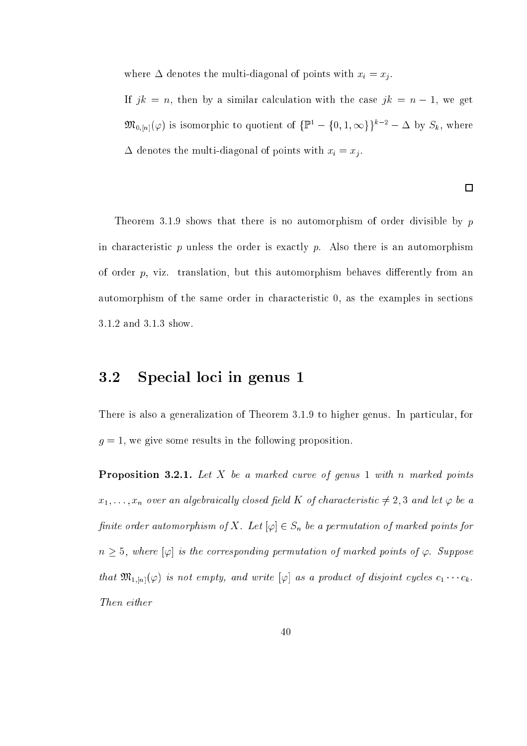where a denotes the multi-diagonal of points  $\mathbb{R}^n$  . With  $\mathbb{R}^n$ 

If  $jk = n$ , then by a similar calculation with the case  $jk = n - 1$ , we get  $\mathfrak{M}_{0,[n]}(\varphi)$  is isomorphic to quotient of  $\{\mathbb{P}^1 - \{0,1,\infty\}\}^{k-2} - \Delta$  by  $S_k$ , where denotes the multi-diagonal of points with  $\alpha$  . The multi-diagonal of points with  $\alpha$  . The multi-diagonal of  $\alpha$ 

 $\Box$ 

Theorem 3.1.9 shows that there is no automorphism of order divisible by  $p$ in characteristic  $p$  unless the order is exactly  $p$ . Also there is an automorphism of order  $p$ , viz. translation, but this automorphism behaves differently from an automorphism of the same order in characteristic 0, as the examples in sections 3.1.2 and 3.1.3 show.

## 3.2 Spe
ial lo
i in genus 1

There is also a generalization of Theorem 3.1.9 to higher genus. In particular, for  $g = 1$ , we give some results in the following proposition.

Proposition 3.2.1. Let X be a marked urve of genus 1 with n marked points  $x_1, \ldots, x_n$  over an algebraically closed field K of characteristic  $\neq 2, 3$  and let  $\varphi$  be a finite order automorphism of X. Let  $[\varphi] \in S_n$  be a permutation of marked points for  $n \geq 5$ , where  $[\varphi]$  is the corresponding permutation of marked points of  $\varphi$ . Suppose that  $\mathfrak{M}_{1,[n]}(\varphi)$  is not empty, and write  $[\varphi]$  as a product of disjoint cycles  $c_1 \cdots c_k$ . Then either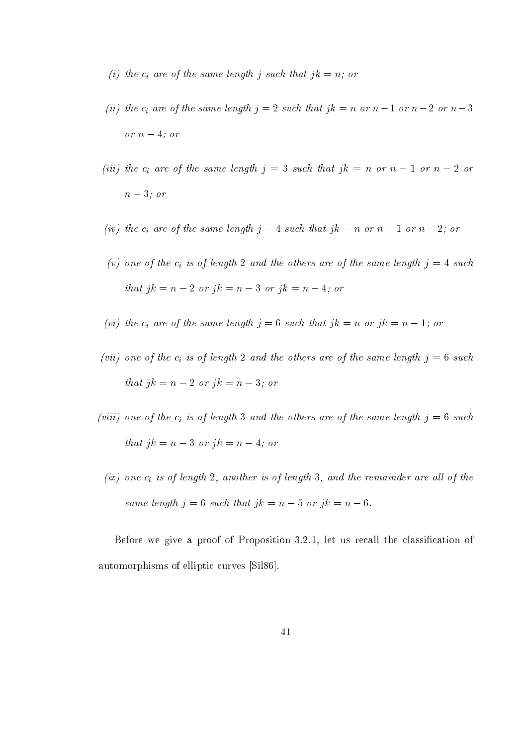- in the same length in the same length in the substitute in the same length in that is not be a non-
- (ii) the i are of the same length <sup>j</sup> <sup>=</sup> <sup>2</sup> su
h that jk <sup>=</sup> <sup>n</sup> or <sup>n</sup> <sup>1</sup> or <sup>n</sup> <sup>2</sup> or <sup>n</sup> <sup>3</sup> or  $n-4$ ; or
- (iii) the same same length jump length jump in the same length  $j$  is a substitute  $\alpha$  in  $\alpha$  . That is not no  $n-3$ ; or
- in the same length in the substitution in  $j$  , we need to same length in the same length in  $\equiv$  , and
- (ii) one of the other areas are of the same length in the same length in the same length in the same length in  $\mu$ that  $jk = n - 2$  or  $jk = n - 3$  or  $jk = n - 4$ ; or
- is an order in the same length just same length just that just  $j$  is a normal  $j$  or  $j$  and  $\alpha$
- (vii) one of the i is of length <sup>2</sup> and the others are of the same length <sup>j</sup> <sup>=</sup> <sup>6</sup> su
h that  $jk = n - 2$  or  $jk = n - 3$ ; or
- i is of length 3 and the other of the same length is of the same length same length just same length in the same that  $jk = n - 3$  or  $jk = n - 4$ ; or
	- $i$  is of another is of length  $i$  is of length  $i$ same length  $j = 6$  such that  $jk = n - 5$  or  $jk = n - 6$ .

Before we give a proof of Proposition 3.2.1, let us recall the classification of automorphisms of elliptic curves [Sil86].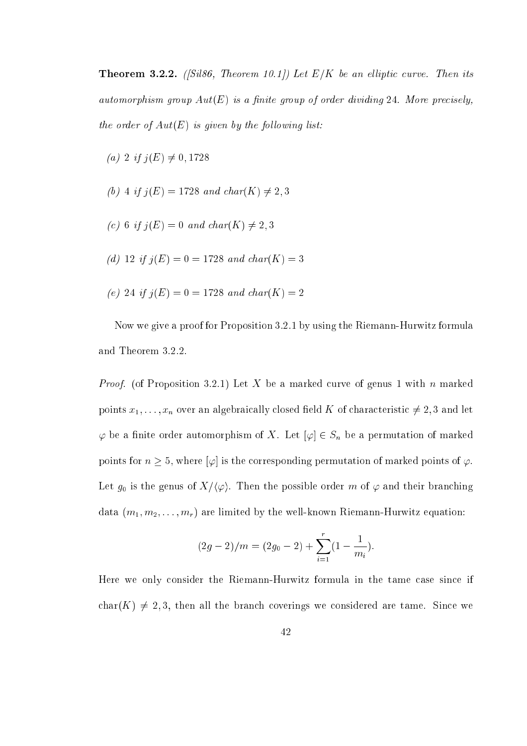. 2.2.2.2. (internal liptics) with the contract of the annual contract  $\cdots$  in electronic and automorphism group  $Aut(E)$  is a finite group of order dividing 24. More precisely, the order of  $Aut(E)$  is given by the following list:

- (a) 2 if  $j(E) \neq 0, 1728$
- (b) 4 if  $j(E) = 1728$  and  $char(K) \neq 2,3$
- (c) 6 if  $j(E) = 0$  and char(K)  $\neq 2,3$
- (d) 12 if  $j(E) = 0 = 1728$  and  $char(K) = 3$
- (e) 24 if  $j(E) = 0 = 1728$  and  $char(K) = 2$

Now we give a proof for Proposition 3.2.1 by using the Riemann-Hurwitz formula and Theorem 3.2.2.

*Proof.* (of Proposition 3.2.1) Let X be a marked curve of genus 1 with n marked points  $x_1, \ldots, x_n$  over an algebraically closed field K of characteristic  $\neq 2, 3$  and let  $\varphi$  be a finite order automorphism of X. Let  $[\varphi] \in S_n$  be a permutation of marked points for  $n \geq 5$ , where  $[\varphi]$  is the corresponding permutation of marked points of  $\varphi$ . Let  $g_0$  is the genus of  $X/\langle \varphi \rangle$ . Then the possible order m of  $\varphi$  and their branching data  $(m_1, m_2, \ldots, m_r)$  are limited by the well-known Riemann-Hurwitz equation:

$$
(2g-2)/m = (2g_0 - 2) + \sum_{i=1}^{r} (1 - \frac{1}{m_i}).
$$

Here we only consider the Riemann-Hurwitz formula in the tame case since if char(K)  $\neq$  2,3, then all the branch coverings we considered are tame. Since we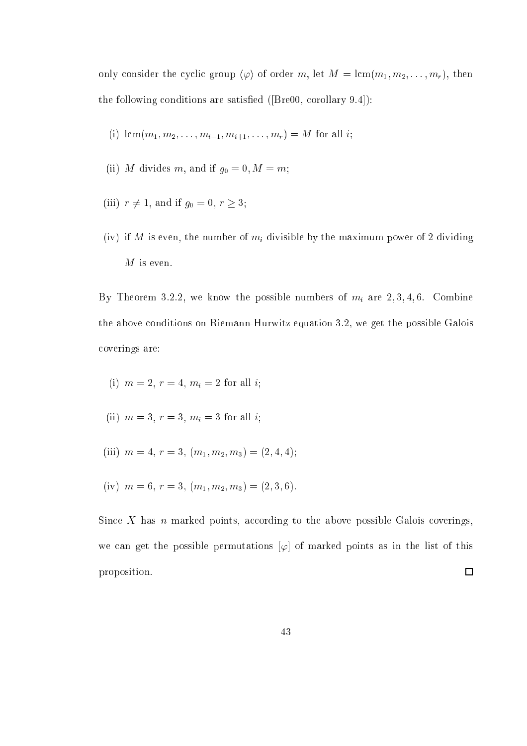only consider the cyclic group  $\langle \varphi \rangle$  of order m, let  $M = \text{lcm}(m_1, m_2, \ldots, m_r)$ , then the following conditions are satisfied  $($ Bre00, corollary 9.4 $)$ :

(i) 
$$
\text{lcm}(m_1, m_2, \ldots, m_{i-1}, m_{i+1}, \ldots, m_r) = M
$$
 for all *i*;

- (ii) M divides m, and if  $g_0 = 0, M = m$ ;
- (iii)  $r \neq 1$ , and if  $g_0 = 0, r \geq 3$ ;
- (iv) if the minimum is the number of minimum power of  $\mu$  and the minimum power of  $2$  divisible  $\alpha$  $M$  is even.

By Theorem 3.2.2, we know the possible numbers of mi are 2; 3; 4; 6. Combine the above onditions on Riemann-Hurwitz equation 3.2, we get the possible Galois overings are:

- (ii) and if an all in the 2 form  $\mathbf{r}$  and  $\mathbf{r}$  are all in the 2 form  $\mathbf{r}$  and  $\mathbf{r}$  and  $\mathbf{r}$  are all in the 2 form  $\mathbf{r}$  and  $\mathbf{r}$  are all in the 2 form  $\mathbf{r}$  and  $\mathbf{r}$  and  $\mathbf{r}$  are all
- $\mathcal{S}$  , and  $\mathcal{S}$  is a subset of  $\mathcal{S}$  , and if  $\mathcal{S}$  is a subset of  $\mathcal{S}$
- (iii)  $m = 4, r = 3, (m_1, m_2, m_3) = (2, 4, 4);$
- (iv)  $m = 6, r = 3, (m_1, m_2, m_3) = (2, 3, 6).$

Since X has *n* marked points, according to the above possible Galois coverings, we can get the possible permutations  $[\varphi]$  of marked points as in the list of this proposition.  $\Box$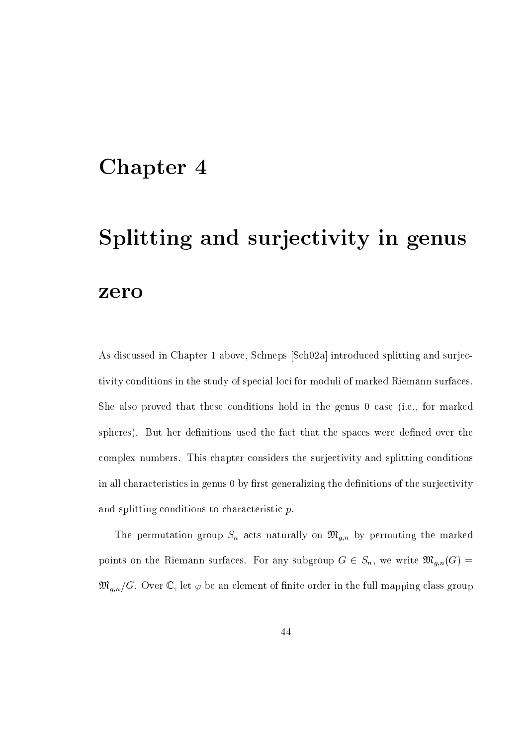# Chapter 4

# Splitting and surjectivity in genus zero

As discussed in Chapter 1 above, Schneps [Sch02a] introduced splitting and surjectivity conditions in the study of special loci for moduli of marked Riemann surfaces. She also proved that these conditions hold in the genus 0 case (i.e., for marked spheres). But her definitions used the fact that the spaces were defined over the complex numbers. This chapter considers the surjectivity and splitting conditions in all characteristics in genus 0 by first generalizing the definitions of the surjectivity and splitting conditions to characteristic  $p$ .

The permutation group  $\alpha$  and  $\alpha$  are marked the marked the marked the marked the marked  $\alpha$ points on the Riemann surfaces. For any subgroup  $G \in S_n$ , we write  $\mathfrak{M}_{g,n}(G) =$  $\mathfrak{M}_{g,n}/G$ . Over C, let  $\varphi$  be an element of finite order in the full mapping class group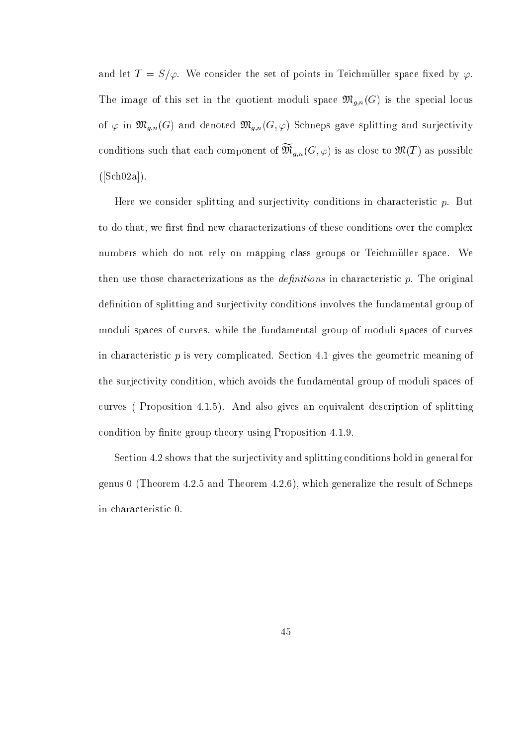and let  $T = S/\varphi$ . We consider the set of points in Teichmüller space fixed by  $\varphi$ . The image of this set in the quotient moduli space  $\mathfrak{M}_{g,n}(G)$  is the special locus of  $\varphi$  in  $\mathfrak{M}_{g,n}(G)$  and denoted  $\mathfrak{M}_{g,n}(G,\varphi)$  Schneps gave splitting and surjectivity conditions such that each component of  $\mathfrak{M}_{q,n}(G,\varphi)$  is as close to  $\mathfrak{M}(T)$  as possible  $([Sch 02a]).$ 

Here we consider splitting and surjectivity conditions in characteristic  $p$ . But to do that, we first find new characterizations of these conditions over the complex numbers which do not rely on mapping class groups or Teichmüller space. We then use those characterizations as the *definitions* in characteristic  $p$ . The original definition of splitting and surjectivity conditions involves the fundamental group of moduli spaces of curves, while the fundamental group of moduli spaces of curves in characteristic  $p$  is very complicated. Section 4.1 gives the geometric meaning of the surje
tivity ondition, whi
h avoids the fundamental group of moduli spa
es of urves ( Proposition 4.1.5). And also gives an equivalent des
ription of splitting condition by finite group theory using Proposition 4.1.9.

Section 4.2 shows that the surjectivity and splitting conditions hold in general for genus 0 (Theorem  $4.2.5$  and Theorem  $4.2.6$ ), which generalize the result of Schneps in hara
teristi 0.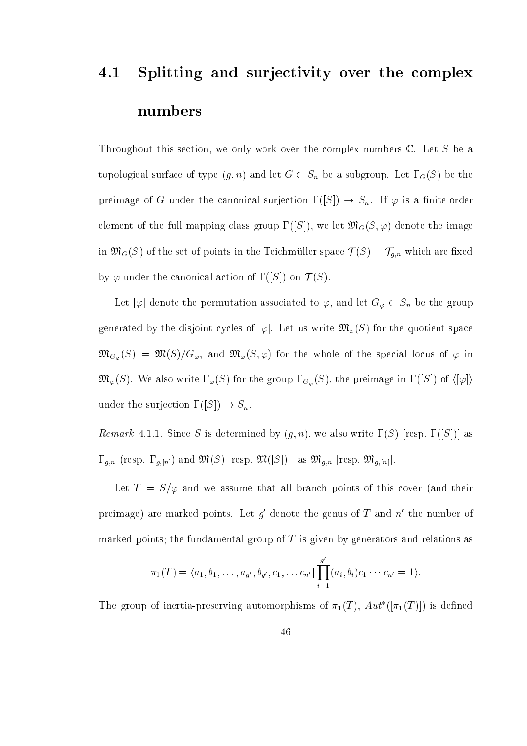# 4.1 Splitting and surjectivity over the complex numbers

Throughout this section, we only work over the complex numbers  $\mathbb{C}$ . Let S be a topologi
al surfa
e of type (g; n) and let G Sn be <sup>a</sup> subgroup. Let G(S) be the preimage of G under the canonical surjection  $\Gamma([S]) \to S_n$ . If  $\varphi$  is a finite-order element of the full mapping class group  $\Gamma([S])$ , we let  $\mathfrak{M}_{G}(S,\varphi)$  denote the image in MG(S) of the set of points in the set of the Teiler set of put  $\ell \setminus \{ \infty \}$  , which we can construct by  $\varphi$  under the canonical action of  $\Gamma([S])$  on  $\mathcal{T}(S)$ .

Let  $[\varphi]$  denote the permutation associated to  $\varphi$ , and let  $G_{\varphi} \subset S_n$  be the group generated by the disjoint cycles of  $[\varphi]$ . Let us write  $\mathfrak{M}_{\varphi}(S)$  for the quotient space  $\mathfrak{M}_{G_{\varphi}}(S) = \mathfrak{M}(S)/G_{\varphi}$ , and  $\mathfrak{M}_{\varphi}(S,\varphi)$  for the whole of the special locus of  $\varphi$  in  $\mathfrak{M}_{\varphi}(S)$ . We also write  $\Gamma_{\varphi}(S)$  for the group  $\Gamma_{G_{\varphi}}(S)$ , the preimage in  $\Gamma([S])$  of  $\langle [\varphi] \rangle$ under the surjection  $\Gamma([S]) \to S_n$ .

Remark 4.1.1. Since S is determined by  $(g, n)$ , we also write  $\Gamma(S)$  [resp.  $\Gamma([S])$ ] as  $g_{\mu\nu}$  , and  $g_{\mu\nu}$  are proposition (finally the MGC) and MCC and MCC and MCC as MGC  $\mu_{\mu\nu}$  are  $\mu_{\nu\mu}$ 

Let  $T = S/\varphi$  and we assume that all branch points of this cover (and their preimage) are marked points. Let  $q$  denote the genus of  $T$  and  $n$  the number of marked points; the fundamental group of  $T$  is given by generators and relations as

$$
\pi_1(T) = \langle a_1, b_1, \ldots, a_{g'}, b_{g'}, c_1, \ldots, c_{n'} | \prod_{i=1}^{g'} (a_i, b_i) c_1 \cdots c_{n'} = 1 \rangle.
$$

The group of inertia-preserving automorphisms of  $\pi_1(T)$ ,  $Au$  ( $\pi_1(T)$ ) is defined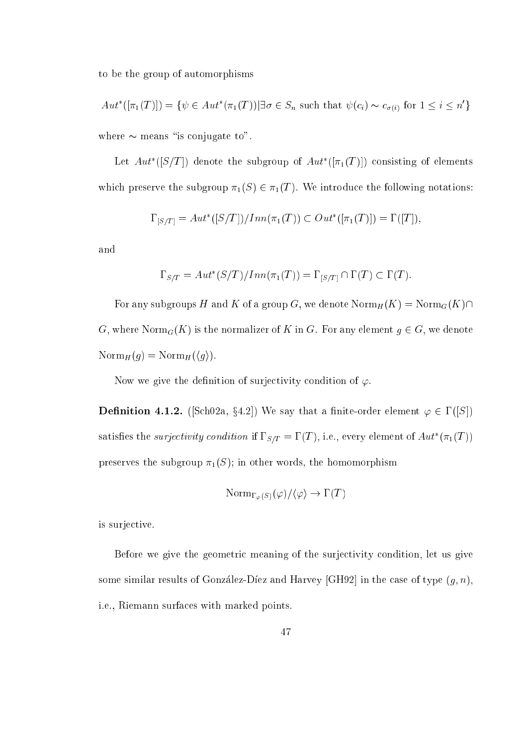to be the group of automorphisms

$$
Aut^*([\pi_1(T)]) = \{ \psi \in Aut^*(\pi_1(T)) | \exists \sigma \in S_n \text{ such that } \psi(c_i) \sim c_{\sigma(i)} \text{ for } 1 \le i \le n' \}
$$
  
where  $\sim$  means "is conjugate to".

Let  $Au$  ([S/T]) denote the subgroup of  $Au$  ([T<sub>1</sub>(T)]) consisting of elements which preserve the subgroup  $\pi_1(S) \in \pi_1(T)$ . We introduce the following notations:

$$
\Gamma_{[S/T]} = Aut^*([S/T])/Inn(\pi_1(T)) \subset Out^*([\pi_1(T)]) = \Gamma([T]),
$$

and

$$
\Gamma_{S/T} = Aut^*(S/T)/Inn(\pi_1(T)) = \Gamma_{[S/T]} \cap \Gamma(T) \subset \Gamma(T).
$$

For any subgroups H and K of a group G, we denote  $\text{Norm}_H(K) = \text{Norm}_G(K)\cap$ G, where  $\text{Norm}_G(K)$  is the normalizer of K in G. For any element  $g \in G$ , we denote  $\text{Norm}_H(g) = \text{Norm}_H(\langle g \rangle).$ 

Now we give the definition of surjectivity condition of  $\varphi$ .

**Dennition 4.1.2.** (Schuza, §4.2) We say that a finite-order element  $\varphi \in I(|S|)$ satisfies the surjectivity condition if  $1 \text{ s}/T = 1$  (1), i.e., every element of Aut  $(\pi_1(1))$ preserves the subgroup  $\pi_1(S)$ ; in other words, the homomorphism

$$
\mathrm{Norm}_{\Gamma_\varphi(S)}(\varphi)/\langle\varphi\rangle \to \Gamma(T)
$$

is surjective.

Before we give the geometric meaning of the surjectivity condition, let us give some similar results of González-Díez and Harvey [GH92] in the case of type  $(g, n)$ , i.e., Riemann surfa
es with marked points.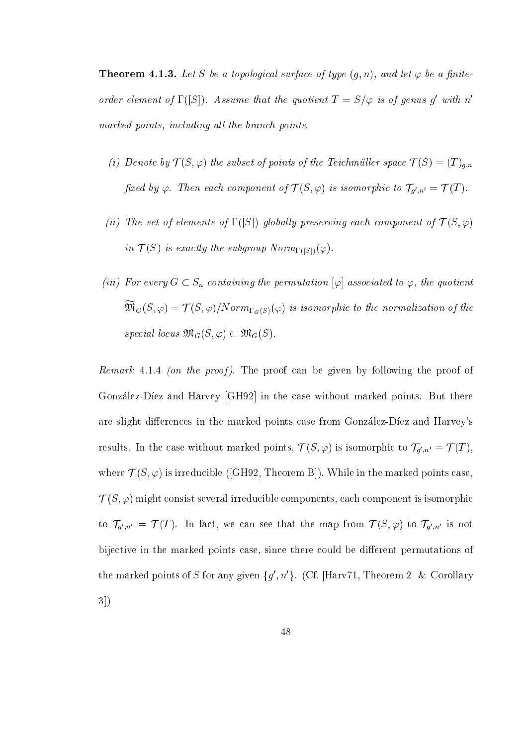**Theorem 4.1.3.** Let S be a topological surface of type  $(g, n)$ , and let  $\varphi$  be a finiteorder element of  $\Gamma(|S|)$ . Assume that the quotient  $I = S/\varphi$  is of genus g with n marked points, including all the branch points.

- (i) Denote by  $\mathcal{T}(S,\varphi)$  the subset of points of the Teichmüller space  $\mathcal{T}(S) = (T)_{g,n}$ fixed by  $\varphi$ . Then each component of  $I(S,\varphi)$  is isomorphic to  $I_{q',n'}=I(T)$ .
- (ii) The set of elements of  $\Gamma([S])$  globally preserving each component of  $\mathcal{T}(S,\varphi)$ in  $\mathcal{T}(S)$  is exactly the subgroup  $Norm_{\Gamma(|S|)}(\varphi)$ .
- (iii) For every  $G \subset S_n$  containing the permutation  $|\varphi|$  associated to  $\varphi$ , the quotient  $\mathfrak{M}_G(\mathcal{S}, \varphi) \equiv I \left( \mathcal{S}, \varphi \right) / Norm_{\Gamma_G(S)}(\varphi)$  is isomorphic to the normalization of the special locus  $\mathfrak{M}_G(S, \varphi) \subset \mathfrak{M}_G(S)$ .

Remark 4.1.4 (on the proof). The proof can be given by following the proof of González-Díez and Harvey [GH92] in the case without marked points. But there are slight differences in the marked points case from Gonzalez-Diez and Harvey's results. In the case without marked points,  $T(S,\varphi)$  is isomorphic to  $T_{q',n'}=T(T),$ where  $\mathcal{T}(S,\varphi)$  is irreducible ([GH92, Theorem B]). While in the marked points case  $T(S, \varphi)$  might consist several irreducible components, each component is isomorphic to  $T_{q',n'} = T(T)$ . In fact, we can see that the map from  $T(S,\varphi)$  to  $T_{q',n'}$  is not bijective in the marked points case, since there could be different permutations of the marked points of S for any given  $\{q, n\}$ . (Cf. [Harv71, Theorem 2 & Corollary]  $3)$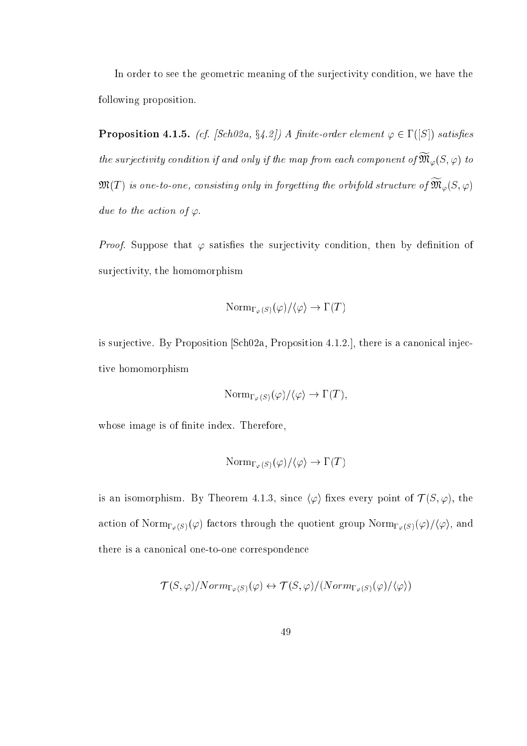In order to see the geometric meaning of the surjectivity condition, we have the following proposition.

**Proposition 4.1.5.** (cf. [Sch02a, §4.2]) A finite-order element  $\varphi \in I$  ([S]) satisfies the surjectivity condition if and only if the map from each component of  $\mathfrak{M}_{\varphi}(S,\varphi)$  to  ${\mathfrak M}(T)$  is one-to-one, consisting only in forgetting the orbifold structure of  ${\mathfrak M}_{\varphi}(S,\varphi)$ due to the action of  $\varphi$ .

*Proof.* Suppose that  $\varphi$  satisfies the surjectivity condition, then by definition of surje
tivity, the homomorphism

$$
\mathrm{Norm}_{\Gamma_\varphi(S)}(\varphi)/\langle\varphi\rangle \to \Gamma(T)
$$

is surjective. By Proposition  $[Sch02a, Proposition 4.1.2.]$ , there is a canonical injective homomorphism

$$
\mathrm{Norm}_{\Gamma_{\varphi}(S)}(\varphi)/\langle \varphi \rangle \to \Gamma(T),
$$

whose image is of finite index. Therefore,

$$
\mathrm{Norm}_{\Gamma_\varphi(S)}(\varphi)/\langle\varphi\rangle \to \Gamma(T)
$$

is an isomorphism. By Theorem 4.1.3, since  $\langle \varphi \rangle$  fixes every point of  $\mathcal{T}(S, \varphi)$ , the action of  $\text{Norm}_{\Gamma_{\varphi}(S)}(\varphi)$  factors through the quotient group  $\text{Norm}_{\Gamma_{\varphi}(S)}(\varphi)/\langle\varphi\rangle$ , and there is a canonical one-to-one correspondence

$$
\mathcal{T}(S,\varphi)/Norm_{\Gamma_{\varphi}(S)}(\varphi) \leftrightarrow \mathcal{T}(S,\varphi)/(Norm_{\Gamma_{\varphi}(S)}(\varphi)/\langle \varphi \rangle)
$$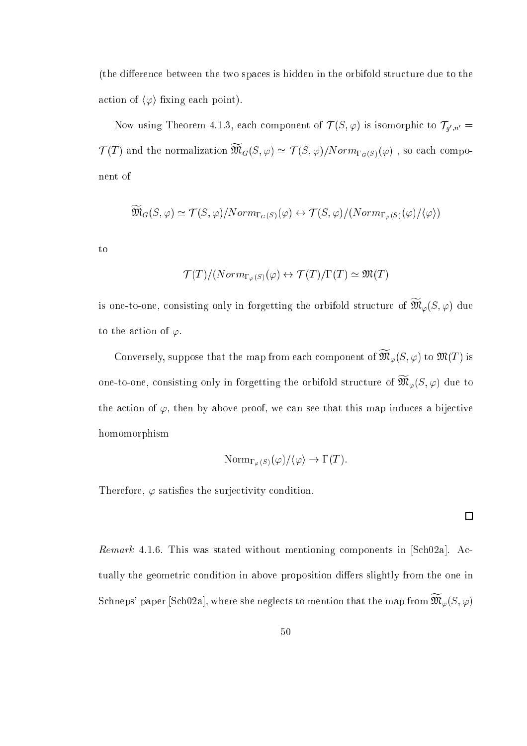(the difference between the two spaces is hidden in the orbifold structure due to the action of  $\langle \varphi \rangle$  fixing each point).

Now using Theorem 4.1.3, each component of  $T(S,\varphi)$  is isomorphic to  $T_{q',n'}=$  $T(T)$  and the normalization  $\mathcal{M}_G(S,\varphi) \simeq T(S,\varphi)/Norm_{\Gamma_G(S)}(\varphi)$ , so each component of

$$
\widetilde{\mathfrak{M}}_{G}(S,\varphi) \simeq \mathcal{T}(S,\varphi)/Norm_{\Gamma_{G}(S)}(\varphi) \leftrightarrow \mathcal{T}(S,\varphi)/(Norm_{\Gamma_{\varphi}(S)}(\varphi)/\langle \varphi \rangle)
$$

to

$$
\mathcal{T}(T)/(Norm_{\Gamma_{\varphi}(S)}(\varphi) \leftrightarrow \mathcal{T}(T)/\Gamma(T) \simeq \mathfrak{M}(T)
$$

is one-to-one, consisting only in forgetting the orbifold structure of  $\mathfrak{M}_{\varphi}(\mathcal{S},\varphi)$  due to the action of  $\varphi$ .

Conversely, suppose that the map from each component of  $\mathfrak{M}_{\varphi} (S, \varphi)$  to  $\mathfrak{M}(T)$  is one-to-one, consisting only in forgetting the orbifold structure of  $\mathfrak{M}_{\varphi}(S,\varphi)$  due to the action of  $\varphi$ , then by above proof, we can see that this map induces a bijective homomorphism

$$
\mathrm{Norm}_{\Gamma_{\varphi}(S)}(\varphi)/\langle \varphi \rangle \to \Gamma(T).
$$

 $\Box$ 

Therefore,  $\varphi$  satisfies the surjectivity condition.

Remark 4.1.6. This was stated without mentioning components in [Sch02a]. Actually the geometric condition in above proposition differs slightly from the one in Schneps' paper [Sch02a], where she neglects to mention that the map from  $\mathfrak{M}_{\varphi}(S,\varphi)$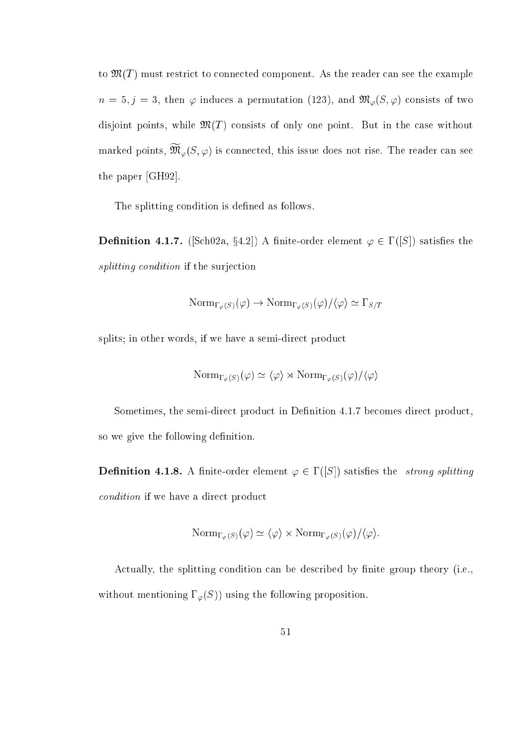to  $\mathfrak{M}(T)$  must restrict to connected component. As the reader can see the example  $n = 5, j = 3$ , then  $\varphi$  induces a permutation (123), and  $\mathfrak{M}_{\varphi}(S, \varphi)$  consists of two disjoint points, while  $\mathfrak{M}(T)$  consists of only one point. But in the case without marked points,  $\mathfrak{M}_{\varphi}(S,\varphi)$  is connected, this issue does not rise. The reader can see the paper  $[GH92]$ .

The splitting condition is defined as follows.

**Definition 4.1.7.** ([Scn02a, 34.2]) A finite-order element  $\varphi \in I$  ([S]) satisfies the splitting condition if the surjection

$$
\mathrm{Norm}_{\Gamma_{\varphi}(S)}(\varphi) \to \mathrm{Norm}_{\Gamma_{\varphi}(S)}(\varphi)/\langle \varphi \rangle \simeq \Gamma_{S/T}
$$

splits; in other words, if we have a semi-direct product

$$
\mathrm{Norm}_{\Gamma_{\varphi}(S)}(\varphi) \simeq \langle \varphi \rangle \rtimes \mathrm{Norm}_{\Gamma_{\varphi}(S)}(\varphi) / \langle \varphi \rangle
$$

Sometimes, the semi-direct product in Definition 4.1.7 becomes direct product, so we give the following definition.

**Dennition 4.1.8.** A finite-order element  $\varphi \in L(|S|)$  satisfies the strong splitting condition if we have a direct product

$$
\mathrm{Norm}_{\Gamma_{\varphi}(S)}(\varphi) \simeq \langle \varphi \rangle \times \mathrm{Norm}_{\Gamma_{\varphi}(S)}(\varphi) / \langle \varphi \rangle.
$$

Actually, the splitting condition can be described by finite group theory (i.e., without mentioning  $\Gamma_{\varphi}(S)$ ) using the following proposition.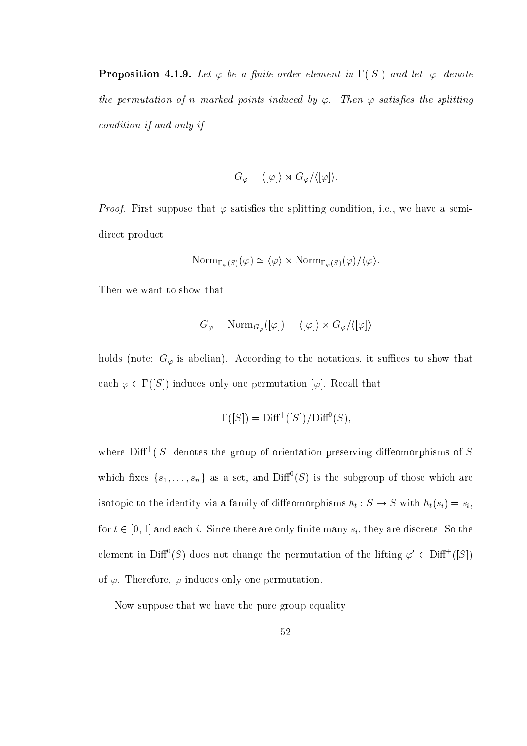**Proposition 4.1.9.** Let  $\varphi$  be a finite-order element in  $\Gamma(|S|)$  and let  $|\varphi|$  denote the permutation of n marked points induced by  $\varphi$ . Then  $\varphi$  satisfies the splitting ondition if and only if

$$
G_{\varphi} = \langle [\varphi] \rangle \rtimes G_{\varphi} / \langle [\varphi] \rangle.
$$

*Proof.* First suppose that  $\varphi$  satisfies the splitting condition, i.e., we have a semidirect product

$$
\mathrm{Norm}_{\Gamma_{\varphi}(S)}(\varphi) \simeq \langle \varphi \rangle \rtimes \mathrm{Norm}_{\Gamma_{\varphi}(S)}(\varphi) / \langle \varphi \rangle.
$$

Then we want to show that

$$
G_{\varphi} = \text{Norm}_{G_{\varphi}}([\varphi]) = \langle [\varphi] \rangle \rtimes G_{\varphi}/\langle [\varphi] \rangle
$$

holds (note:  $G_{\varphi}$  is abelian). According to the notations, it suffices to show that each  $\varphi \in \Gamma([S])$  induces only one permutation  $[\varphi]$ . Recall that

$$
\Gamma([S]) = \text{Diff}^+([S]) / \text{Diff}^0(S),
$$

where  $\text{Diff}^+([S]$  denotes the group of orientation-preserving diffeomorphisms of S which fixes  $\{s_1,\ldots,s_n\}$  as a set, and DIII (5) is the subgroup of those which are is to pick to the identity via a family of dieces the presenter  $\{s\}$  with  $\{s\}$  with  $\{s\}$ for  $t \in [0, 1]$  and each i. Since there are only finite many  $s_i$ , they are discrete. So the element in Diff (S) does not change the permutation of the lifting  $\varphi \in \text{Diff}^+(\overline{\mathcal{S}})$ of  $\varphi$ . Therefore,  $\varphi$  induces only one permutation.

Now suppose that we have the pure group equality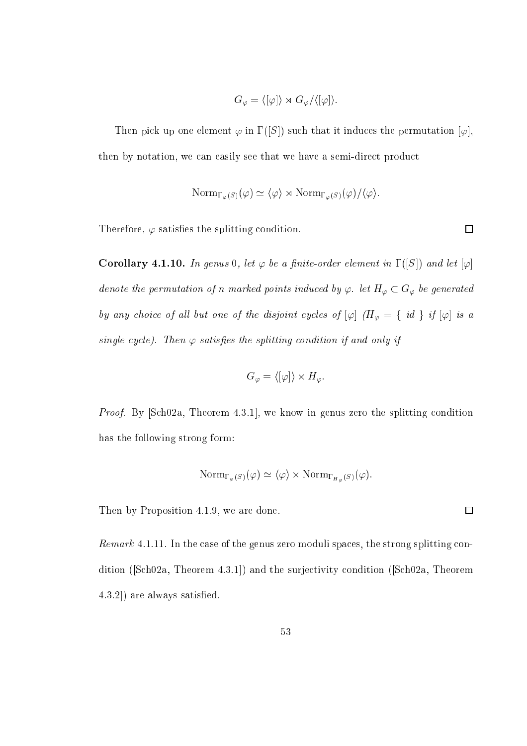$$
G_{\varphi} = \langle [\varphi] \rangle \rtimes G_{\varphi} / \langle [\varphi] \rangle.
$$

Then pick up one element  $\varphi$  in  $\Gamma(|S|)$  such that it induces the permutation  $[\varphi]$ , then by notation, we can easily see that we have a semi-direct product

$$
\mathrm{Norm}_{\Gamma_{\varphi}(S)}(\varphi) \simeq \langle \varphi \rangle \rtimes \mathrm{Norm}_{\Gamma_{\varphi}(S)}(\varphi) / \langle \varphi \rangle.
$$

Therefore,  $\varphi$  satisfies the splitting condition.

Corollary 4.1.10. In genus 0, let  $\varphi$  be a finite-order element in  $1$  ([S]) and let  $|\varphi|$ denote the permutation of n marked points induced by  $\varphi$ . let  $H_{\varphi} \subset G_{\varphi}$  be generated by any choice of all but one of the disjoint cycles of  $[\varphi]$   $(H_{\varphi} = \{ id \}$  if  $[\varphi]$  is a single cycle). Then  $\varphi$  satisfies the splitting condition if and only if

$$
G_{\varphi} = \langle [\varphi] \rangle \times H_{\varphi}.
$$

*Proof.* By [Sch02a, Theorem 4.3.1], we know in genus zero the splitting condition has the following strong form:

$$
\mathrm{Norm}_{\Gamma_{\varphi}(S)}(\varphi) \simeq \langle \varphi \rangle \times \mathrm{Norm}_{\Gamma_{H_{\varphi}}(S)}(\varphi).
$$

Then by Proposition 4.1.9, we are done.

Remark 4.1.11. In the case of the genus zero moduli spaces, the strong splitting condition ( $[Sch02a, Theorem 4.3.1]$ ) and the surjectivity condition ( $[Sch02a, Theorem 4.3.1]$ )  $(4.3.2)$  are always satisfied.

 $\Box$ 

 $\Box$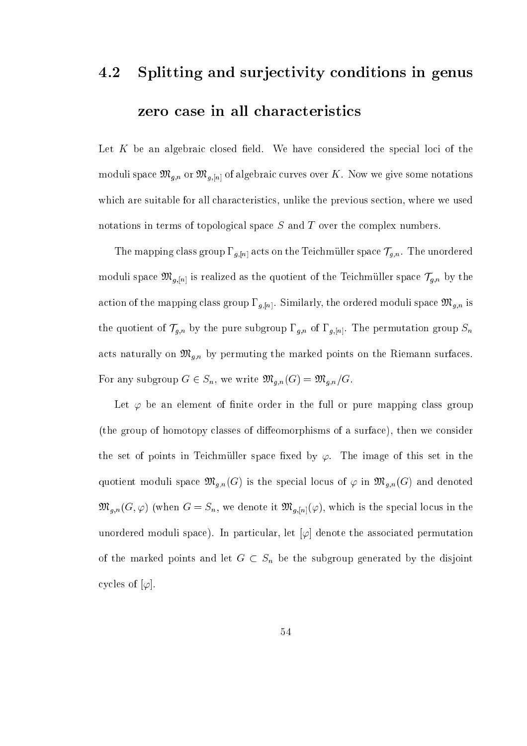# 4.2 Splitting and surje
tivity onditions in genus zero case in all characteristics

Let  $K$  be an algebraic closed field. We have considered the special loci of the moduli space  $\alpha$  over  $\alpha$  over  $\alpha$  over  $\alpha$  over  $\alpha$ which are suitable for all characteristics, unlike the previous section, where we used notations in terms of topological space S and T over the complex numbers.

The mapping class group  $\Gamma_{g,[n]}$  acts on the Teichmüller space  $\mathcal{T}_{g,n}$ . The unordered moduli space  $\mathfrak{M}_{g,[n]}$  is realized as the quotient of the Teichmüller space  $\mathcal{T}_{g,n}$  by the action of the mapping class group  $\Gamma_{g,[n]}$ . Similarly, the ordered moduli space  $\mathfrak{M}_{g,n}$  is the quotient of  $T_g$   $\mu$   $\mu$  by the pure subgroup g;n of  $g$  and  $\mu$  and  $\mu$ ats naturally on Mg;n by permuting the marked points on the marked points on the Markedon surface on the Riema For any subgroup  $G \in S_n$ , we write  $\mathfrak{M}_{g,n}(G) = \mathfrak{M}_{g,n}/G$ .

Let  $\varphi$  be an element of finite order in the full or pure mapping class group (the group of homotopy classes of diffeomorphisms of a surface), then we consider the set of points in Teichmüller space fixed by  $\varphi$ . The image of this set in the quotient moduli space  $\mathfrak{M}_{g,n}(G)$  is the special locus of  $\varphi$  in  $\mathfrak{M}_{g,n}(G)$  and denoted  $\mathfrak{M}_{g,n}(G,\varphi)$  (when  $G=S_n$ , we denote it  $\mathfrak{M}_{g,[n]}(\varphi)$ , which is the special locus in the unordered moduli space). In particular, let  $[\varphi]$  denote the associated permutation of the marked points and let G  $\leq$  Sn be the subgroup generated by the subgroup  $\sim$ cycles of  $[\varphi]$ .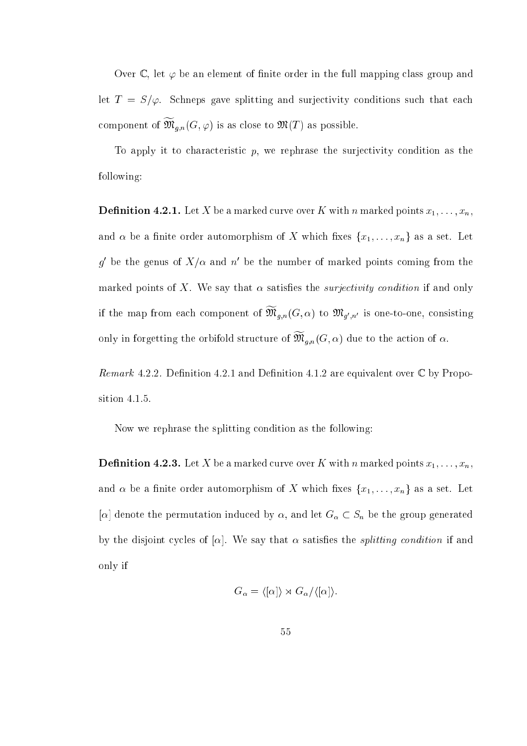Over  $\mathbb C$ , let  $\varphi$  be an element of finite order in the full mapping class group and let  $T = S/\varphi$ . Schneps gave splitting and surjectivity conditions such that each component of  $\mathfrak{M}_{q,n}(G,\varphi)$  is as close to  $\mathfrak{M}(T)$  as possible.

To apply it to characteristic  $p$ , we rephrase the surjectivity condition as the following:

Denition 4.2.1. Let X be a marked urve over K with n marked points x1; : : : ; xn, and  $\alpha$  be a finite order automorphism of X which fixes  $\{x_1, \ldots, x_n\}$  as a set. Let q be the genus of  $A/\alpha$  and n be the number of marked points coming from the marked points of X. We say that  $\alpha$  satisfies the *surjectivity condition* if and only If the map from each component of  $\mathcal{M}_{\theta,n}(\mathbf{G},\alpha)$  to  $\mathcal{M}_{\theta',n'}$  is one-to-one, consisting only in forgetting the orbifold structure of  $\mathcal{M}_{\theta,\eta}(\mathbf{G},\alpha)$  due to the action of  $\alpha$ .

Remark 4.2.2. Definition 4.2.1 and Definition 4.1.2 are equivalent over  $\mathbb C$  by Proposition 4.1.5.

Now we rephrase the splitting condition as the following:

Denition 4.2.3. Let X be a marked urve over K with n marked points x1; : : : ; xn, and  $\alpha$  be a finite order automorphism of X which fixes  $\{x_1, \ldots, x_n\}$  as a set. Let  $\mathbb{P}^1$  denote the permutation induced by , and we the group  $\mathbb{P}^1$  , and let  $\mathbb{P}^1$  denote the group generator by the disjoint cycles of  $[\alpha]$ . We say that  $\alpha$  satisfies the *splitting condition* if and only if

$$
G_{\alpha} = \langle [\alpha] \rangle \rtimes G_{\alpha}/\langle [\alpha] \rangle.
$$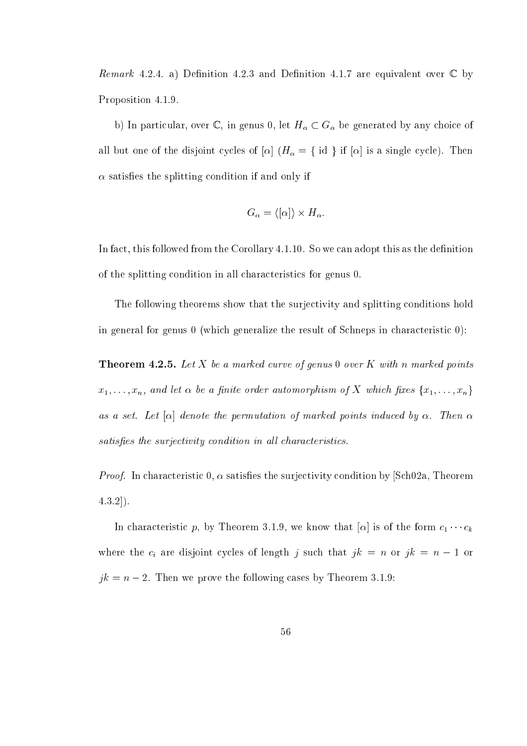*Remark* 4.2.4. a) Definition 4.2.3 and Definition 4.1.7 are equivalent over  $\mathbb C$  by Proposition 4.1.9.

b) In particular, over  $\mathbb{C}$ , in genus 0, let  $H_{\alpha} \subset G_{\alpha}$  be generated by any choice of which is a fit of the distoire of idea you will be a single of idea in the fit of the fit  $\alpha$  is a single of  $\alpha$  satisfies the splitting condition if and only if

$$
G_{\alpha} = \langle [\alpha] \rangle \times H_{\alpha}.
$$

In fact, this followed from the Corollary 4.1.10. So we can adopt this as the definition of the splitting ondition in all hara
teristi
s for genus 0.

The following theorems show that the surjectivity and splitting conditions hold in general for genus 0 (which generalize the result of Schneps in characteristic 0):

. Let it is a marked of the and the annual points of the second property of the second points of the second points of the second points of the second points of the second points of the second points of the second points of  $x_1, \ldots, x_n$ , and let  $\alpha$  be a finite order automorphism of X which fixes  $\{x_1, \ldots, x_n\}$ as a set. Let  $[\alpha]$  denote the permutation of marked points induced by  $\alpha$ . Then  $\alpha$ satisfies the surjectivity condition in all characteristics.

*Proof.* In characteristic 0,  $\alpha$  satisfies the surjectivity condition by [Sch02a, Theorem  $(4.3.2)$ .

In characteristic p, by Theorem 3.1.9, we know that  $[\alpha]$  is of the form  $c_1 \cdots c_k$ i are disjoint that is not less of length  $j$  are in order to  $j$  $jk = n - 2$ . Then we prove the following cases by Theorem 3.1.9: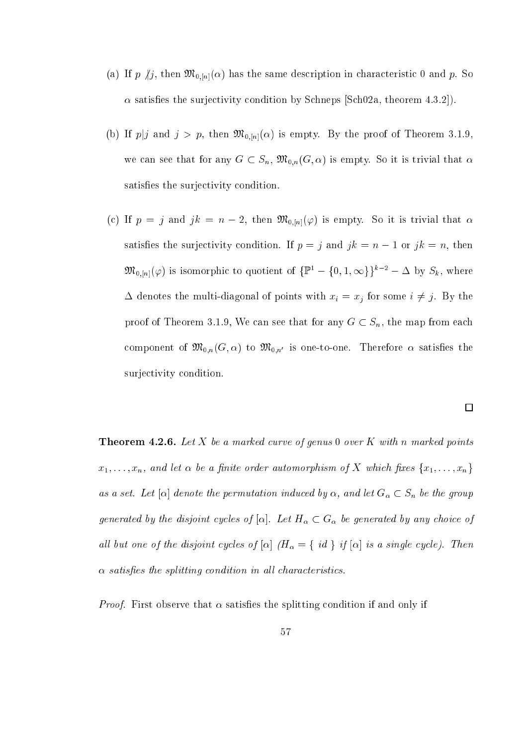- (a) If p  $/j$ , then  $\mathfrak{M}_{0,[n]}(\alpha)$  has the same description in characteristic 0 and p. So  $\alpha$  satisfies the surjectivity condition by Schneps [Sch02a, theorem 4.3.2]).
- (b) If  $p|j$  and  $j > p$ , then  $\mathfrak{M}_{0,[n]}(\alpha)$  is empty. By the proof of Theorem 3.1.9, we can see that for any  $G \subset S_n$ ,  $\mathfrak{M}_{0,n}(G,\alpha)$  is empty. So it is trivial that  $\alpha$ satisfies the surjectivity condition.
- (c) If  $p = j$  and  $jk = n 2$ , then  $\mathfrak{M}_{0,[n]}(\varphi)$  is empty. So it is trivial that  $\alpha$ satisfies the surjectivity condition. If  $p = j$  and  $jk = n - 1$  or  $jk = n$ , then  $\mathfrak{M}_{0,[n]}(\varphi)$  is isomorphic to quotient of  $\{\mathbb{P}^1 - \{0,1,\infty\}\}^{k-2} - \Delta$  by  $S_k$ , where denotes the multi-diagonal of points with  $\alpha$   $\beta$  for some interval  $\beta$  ,  $\beta$  is some proof of Theorem 3.1.9, We can see that for any  $G \subset S_n$ , the map from each component of  $\mathfrak{M}_{0,n}(G, \alpha)$  to  $\mathfrak{M}_{0,n'}$  is one-to-one. Therefore  $\alpha$  satisfies the surjectivity condition.

 $\Box$ 

. Let it a marked the a marked points of genus 0 over the marked provided points of  $\mathbb{R}^n$  $x_1, \ldots, x_n$ , and let  $\alpha$  be a finite order automorphism of X which fixes  $\{x_1, \ldots, x_n\}$ as a set. Let  $\mathbb{P}^1$  denote the permutation induced by  $\mathbb{P}^1$  and let  $\mathbb{P}^1$   $\cong$   $\mathbb{P}^1$  , and  $\mathbb{P}^1$  $g$  for discussing by any  $g$  for any point  $\pm$  and  $\pm$  of  $\mathfrak{a}$  . Any point  $\pi$  ,  $g$  and  $\pi$ les of the distribution of the distribution of the distribution of the distribution of the distribution of the  $\alpha$  satisfies the splitting condition in all characteristics.

*Proof.* First observe that  $\alpha$  satisfies the splitting condition if and only if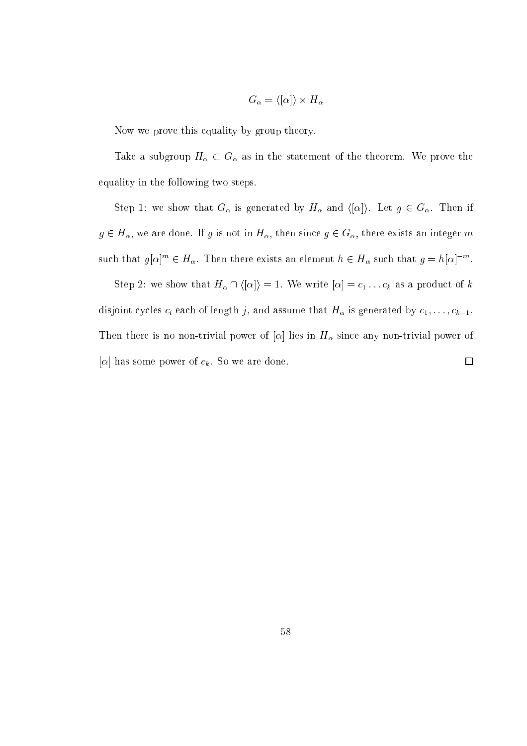$$
G_{\alpha} = \langle [\alpha] \rangle \times H_{\alpha}
$$

Now we prove this equality by group theory.

Take a subgroup H  $G$  as in the statement of the statement of the theorem. We prove the theorem. We prove the theorem. equality in the following two steps.

 $S$  step is the show that  $S$  of  $G$  is generated by H and  $\mu$  and  $\mu$  . Hence,  $\mu$  2 G. Then if  $\mu$  $g \in H_\alpha$ , we are done. If g is not in  $H_\alpha$ , then since  $g \in G_\alpha$ , there exists an integer m such that  $g|\alpha|^{n} \in H_{\alpha}$ . Then there exists an element  $n \in H_{\alpha}$  such that  $g = n|\alpha|^{-n}$ .

step 2: we show that the H  $\mu$  in the H  $\mu$  = 1. We write  $\mu$  is the  $\mu$  and the state for the  $\mu$ disjoint y
les i ea
h of length j, and assume that H is generated by 1; : : : ; k1. Then the second is no more is not power power of [ti] power of  $\alpha$  and the sing  $\alpha$  and in H sing power of  $[\alpha]$  has some power of  $c_k$ . So we are done.  $\Box$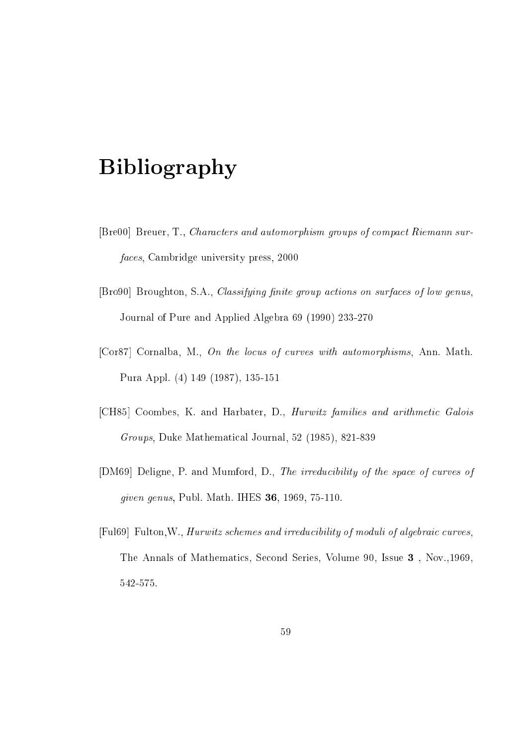# Bibliography

- [Bre00] Breuer, T., Characters and automorphism groups of compact Riemann surfa
es, Cambridge university press, 2000
- [Bro90] Broughton, S.A., *Classifying finite group actions on surfaces of low genus*, Journal of Pure and Applied Algebra 69 (1990) 233-270
- [Cor87] Cornalba, M., On the locus of curves with automorphisms, Ann. Math. Pura Appl. (4) 149 (1987), 135-151
- [CH85] Coombes, K. and Harbater, D., Hurwitz families and arithmetic Galois Groups, Duke Mathemati
al Journal, 52 (1985), 821-839
- [DM69] Deligne, P. and Mumford, D., The irreducibility of the space of curves of given genus, Publ. Math. IHES 36, 1969, 75-110.
- [Ful69] Fulton, W., *Hurwitz schemes and irreducibility of moduli of algebraic curves*, The Annals of Mathematics, Second Series, Volume 90, Issue 3, Nov., 1969, 542-575.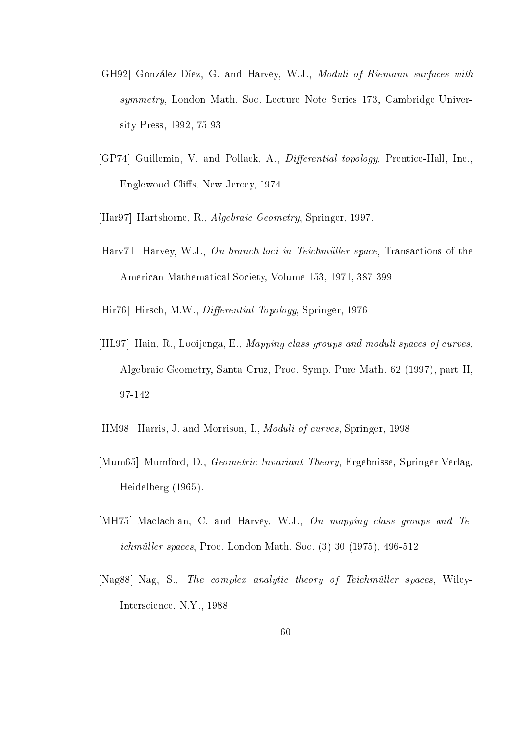- [GH92] González-Díez, G. and Harvey, W.J., Moduli of Riemann surfaces with symmetry, London Math. Soc. Lecture Note Series 173, Cambridge University Press, 1992, 75-93
- [GP74] Guillemin, V. and Pollack, A., *Differential topology*, Prentice-Hall, Inc., Englewood Cliffs, New Jercey, 1974.
- [Har97] Hartshorne, R., Algebraic Geometry, Springer, 1997.
- $[Harv71]$  Harvey, W.J., On branch loci in Teichmüller space, Transactions of the American Mathematical Society, Volume 153, 1971, 387-399
- [Hir76] Hirsch, M.W., *Differential Topology*, Springer, 1976
- [HL97] Hain, R., Looijenga, E., Mapping class groups and moduli spaces of curves, Algebrai Geometry, Santa Cruz, Pro
. Symp. Pure Math. 62 (1997), part II, 97-142
- [HM98] Harris, J. and Morrison, I., *Moduli of curves*, Springer, 1998
- [Mum65] Mumford, D., *Geometric Invariant Theory*, Ergebnisse, Springer-Verlag, Heidelberg (1965).
- [MH75] Maclachlan, C. and Harvey, W.J.,  $\overline{On}$  mapping class groups and Teichmüller spaces, Proc. London Math. Soc. (3) 30 (1975), 496-512
- [Nag88] Nag, S., The complex analytic theory of Teichmüller spaces, Wiley-Inters
ien
e, N.Y., 1988